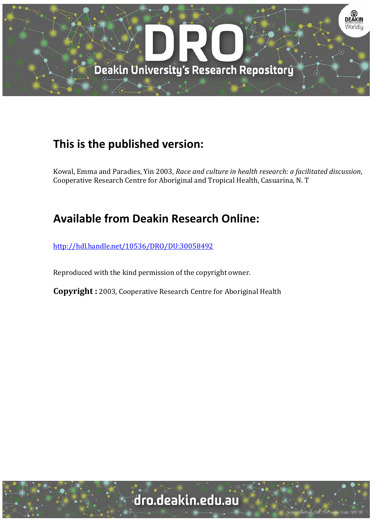

### **This is the published version:**

Kowal, Emma and Paradies, Yin 2003, *Race and culture in health research: a facilitated discussion*, Cooperative Research Centre for Aboriginal and Tropical Health, Casuarina, N. T

### **Available from Deakin Research Online:**

http://hdl.handle.net/10536/DRO/DU:30058492

Reproduced with the kind permission of the copyright owner.

**Copyright** : 2003, Cooperative Research Centre for Aboriginal Health

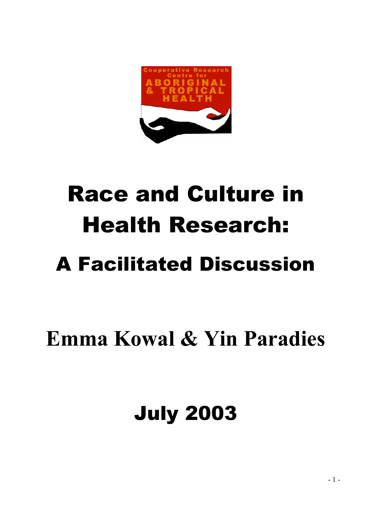

# Race and Culture in Health Research:

# A Facilitated Discussion

# **Emma Kowal & Yin Paradies**

## July 2003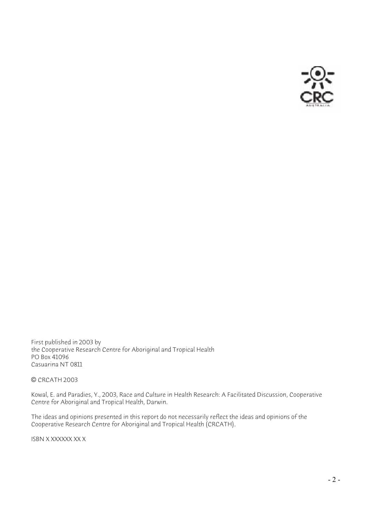

First published in 2003 by the Cooperative Research Centre for Aboriginal and Tropical Health PO Box 41096 Casuarina NT 0811

#### © CRCATH 2003

Kowal, E. and Paradies, Y., 2003, Race and Culture in Health Research: A Facilitated Discussion, Cooperative Centre for Aboriginal and Tropical Health, Darwin.

The ideas and opinions presented in this report do not necessarily reflect the ideas and opinions of the Cooperative Research Centre for Aboriginal and Tropical Health (CRCATH).

ISBN X XXXXXX XX X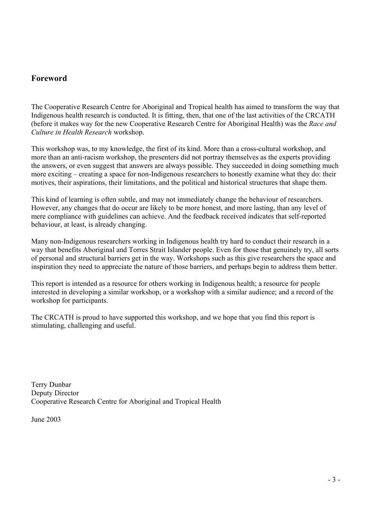#### **Foreword**

The Cooperative Research Centre for Aboriginal and Tropical health has aimed to transform the way that Indigenous health research is conducted. It is fitting, then, that one of the last activities of the CRCATH (before it makes way for the new Cooperative Research Centre for Aboriginal Health) was the *Race and Culture in Health Research* workshop.

This workshop was, to my knowledge, the first of its kind. More than a cross-cultural workshop, and more than an anti-racism workshop, the presenters did not portray themselves as the experts providing the answers, or even suggest that answers are always possible. They succeeded in doing something much more exciting – creating a space for non-Indigenous researchers to honestly examine what they do: their motives, their aspirations, their limitations, and the political and historical structures that shape them.

This kind of learning is often subtle, and may not immediately change the behaviour of researchers. However, any changes that do occur are likely to be more honest, and more lasting, than any level of mere compliance with guidelines can achieve. And the feedback received indicates that self-reported behaviour, at least, is already changing.

Many non-Indigenous researchers working in Indigenous health try hard to conduct their research in a way that benefits Aboriginal and Torres Strait Islander people. Even for those that genuinely try, all sorts of personal and structural barriers get in the way. Workshops such as this give researchers the space and inspiration they need to appreciate the nature of those barriers, and perhaps begin to address them better.

This report is intended as a resource for others working in Indigenous health; a resource for people interested in developing a similar workshop, or a workshop with a similar audience; and a record of the workshop for participants.

The CRCATH is proud to have supported this workshop, and we hope that you find this report is stimulating, challenging and useful.

Terry Dunbar Deputy Director Cooperative Research Centre for Aboriginal and Tropical Health

June 2003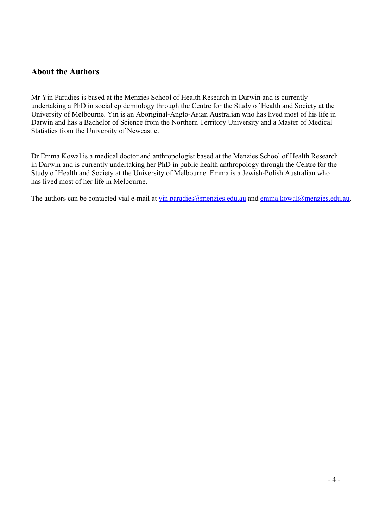#### **About the Authors**

Mr Yin Paradies is based at the Menzies School of Health Research in Darwin and is currently undertaking a PhD in social epidemiology through the Centre for the Study of Health and Society at the University of Melbourne. Yin is an Aboriginal-Anglo-Asian Australian who has lived most of his life in Darwin and has a Bachelor of Science from the Northern Territory University and a Master of Medical Statistics from the University of Newcastle.

Dr Emma Kowal is a medical doctor and anthropologist based at the Menzies School of Health Research in Darwin and is currently undertaking her PhD in public health anthropology through the Centre for the Study of Health and Society at the University of Melbourne. Emma is a Jewish-Polish Australian who has lived most of her life in Melbourne.

The authors can be contacted vial e-mail at yin.paradies@menzies.edu.au and emma.kowal@menzies.edu.au.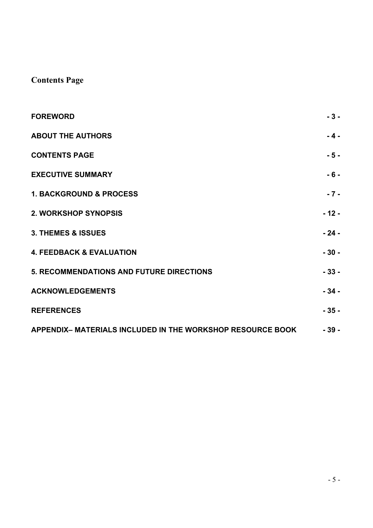### **Contents Page**

| <b>FOREWORD</b>                                            | $-3-$  |
|------------------------------------------------------------|--------|
| <b>ABOUT THE AUTHORS</b>                                   | - 4 -  |
| <b>CONTENTS PAGE</b>                                       | - 5 -  |
| <b>EXECUTIVE SUMMARY</b>                                   | $-6-$  |
| <b>1. BACKGROUND &amp; PROCESS</b>                         | $-7-$  |
| <b>2. WORKSHOP SYNOPSIS</b>                                | $-12-$ |
| 3. THEMES & ISSUES                                         | $-24-$ |
| <b>4. FEEDBACK &amp; EVALUATION</b>                        | $-30-$ |
| <b>5. RECOMMENDATIONS AND FUTURE DIRECTIONS</b>            | $-33-$ |
| <b>ACKNOWLEDGEMENTS</b>                                    | $-34-$ |
| <b>REFERENCES</b>                                          | $-35-$ |
| APPENDIX- MATERIALS INCLUDED IN THE WORKSHOP RESOURCE BOOK | $-39-$ |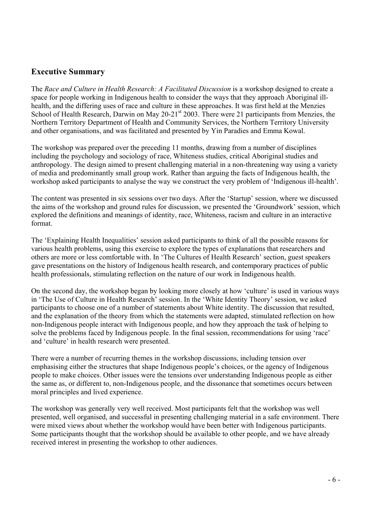#### **Executive Summary**

The *Race and Culture in Health Research: A Facilitated Discussion* is a workshop designed to create a space for people working in Indigenous health to consider the ways that they approach Aboriginal illhealth, and the differing uses of race and culture in these approaches. It was first held at the Menzies School of Health Research, Darwin on May 20-21<sup>st</sup> 2003. There were 21 participants from Menzies, the Northern Territory Department of Health and Community Services, the Northern Territory University and other organisations, and was facilitated and presented by Yin Paradies and Emma Kowal.

The workshop was prepared over the preceding 11 months, drawing from a number of disciplines including the psychology and sociology of race, Whiteness studies, critical Aboriginal studies and anthropology. The design aimed to present challenging material in a non-threatening way using a variety of media and predominantly small group work. Rather than arguing the facts of Indigenous health, the workshop asked participants to analyse the way we construct the very problem of 'Indigenous ill-health'.

The content was presented in six sessions over two days. After the 'Startup' session, where we discussed the aims of the workshop and ground rules for discussion, we presented the 'Groundwork' session, which explored the definitions and meanings of identity, race, Whiteness, racism and culture in an interactive format.

The 'Explaining Health Inequalities' session asked participants to think of all the possible reasons for various health problems, using this exercise to explore the types of explanations that researchers and others are more or less comfortable with. In 'The Cultures of Health Research' section, guest speakers gave presentations on the history of Indigenous health research, and contemporary practices of public health professionals, stimulating reflection on the nature of our work in Indigenous health.

On the second day, the workshop began by looking more closely at how 'culture' is used in various ways in 'The Use of Culture in Health Research' session. In the 'White Identity Theory' session, we asked participants to choose one of a number of statements about White identity. The discussion that resulted, and the explanation of the theory from which the statements were adapted, stimulated reflection on how non-Indigenous people interact with Indigenous people, and how they approach the task of helping to solve the problems faced by Indigenous people. In the final session, recommendations for using 'race' and 'culture' in health research were presented.

There were a number of recurring themes in the workshop discussions, including tension over emphasising either the structures that shape Indigenous people's choices, or the agency of Indigenous people to make choices. Other issues were the tensions over understanding Indigenous people as either the same as, or different to, non-Indigenous people, and the dissonance that sometimes occurs between moral principles and lived experience.

The workshop was generally very well received. Most participants felt that the workshop was well presented, well organised, and successful in presenting challenging material in a safe environment. There were mixed views about whether the workshop would have been better with Indigenous participants. Some participants thought that the workshop should be available to other people, and we have already received interest in presenting the workshop to other audiences.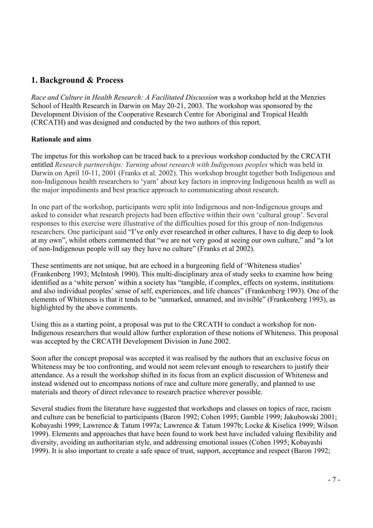#### **1. Background & Process**

*Race and Culture in Health Research: A Facilitated Discussion* was a workshop held at the Menzies School of Health Research in Darwin on May 20-21, 2003. The workshop was sponsored by the Development Division of the Cooperative Research Centre for Aboriginal and Tropical Health (CRCATH) and was designed and conducted by the two authors of this report.

#### **Rationale and aims**

The impetus for this workshop can be traced back to a previous workshop conducted by the CRCATH entitled *Research partnerships: Yarning about research with Indigenous peoples* which was held in Darwin on April 10-11, 2001 (Franks et al. 2002). This workshop brought together both Indigenous and non-Indigenous health researchers to 'yarn' about key factors in improving Indigenous health as well as the major impediments and best practice approach to communicating about research.

In one part of the workshop, participants were split into Indigenous and non-Indigenous groups and asked to consider what research projects had been effective within their own 'cultural group'. Several responses to this exercise were illustrative of the difficulties posed for this group of non-Indigenous researchers. One participant said "I've only ever researched in other cultures, I have to dig deep to look at my own", whilst others commented that "we are not very good at seeing our own culture," and "a lot of non-Indigenous people will say they have no culture" (Franks et al 2002).

These sentiments are not unique, but are echoed in a burgeoning field of 'Whiteness studies' (Frankenberg 1993; McIntosh 1990). This multi-disciplinary area of study seeks to examine how being identified as a 'white person' within a society has "tangible, if complex, effects on systems, institutions and also individual peoples' sense of self, experiences, and life chances" (Frankenberg 1993). One of the elements of Whiteness is that it tends to be "unmarked, unnamed, and invisible" (Frankenberg 1993), as highlighted by the above comments.

Using this as a starting point, a proposal was put to the CRCATH to conduct a workshop for non-Indigenous researchers that would allow further exploration of these notions of Whiteness. This proposal was accepted by the CRCATH Development Division in June 2002.

Soon after the concept proposal was accepted it was realised by the authors that an exclusive focus on Whiteness may be too confronting, and would not seem relevant enough to researchers to justify their attendance. As a result the workshop shifted in its focus from an explicit discussion of Whiteness and instead widened out to encompass notions of race and culture more generally, and planned to use materials and theory of direct relevance to research practice wherever possible.

Several studies from the literature have suggested that workshops and classes on topics of race, racism and culture can be beneficial to participants (Baron 1992; Cohen 1995; Gamble 1999; Jakubowski 2001; Kobayashi 1999; Lawrence & Tatum 1997a; Lawrence & Tatum 1997b; Locke & Kiselica 1999; Wilson 1999). Elements and approaches that have been found to work best have included valuing flexibility and diversity, avoiding an authoritarian style, and addressing emotional issues (Cohen 1995; Kobayashi 1999). It is also important to create a safe space of trust, support, acceptance and respect (Baron 1992;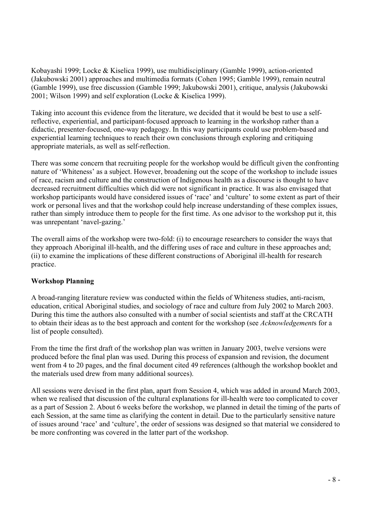Kobayashi 1999; Locke & Kiselica 1999), use multidisciplinary (Gamble 1999), action-oriented (Jakubowski 2001) approaches and multimedia formats (Cohen 1995; Gamble 1999), remain neutral (Gamble 1999), use free discussion (Gamble 1999; Jakubowski 2001), critique, analysis (Jakubowski 2001; Wilson 1999) and self exploration (Locke & Kiselica 1999).

Taking into account this evidence from the literature, we decided that it would be best to use a selfreflective, experiential, and participant-focused approach to learning in the workshop rather than a didactic, presenter-focused, one-way pedagogy. In this way participants could use problem-based and experiential learning techniques to reach their own conclusions through exploring and critiquing appropriate materials, as well as self-reflection.

There was some concern that recruiting people for the workshop would be difficult given the confronting nature of 'Whiteness' as a subject. However, broadening out the scope of the workshop to include issues of race, racism and culture and the construction of Indigenous health as a discourse is thought to have decreased recruitment difficulties which did were not significant in practice. It was also envisaged that workshop participants would have considered issues of 'race' and 'culture' to some extent as part of their work or personal lives and that the workshop could help increase understanding of these complex issues, rather than simply introduce them to people for the first time. As one advisor to the workshop put it, this was unrepentant 'navel-gazing.'

The overall aims of the workshop were two-fold: (i) to encourage researchers to consider the ways that they approach Aboriginal ill-health, and the differing uses of race and culture in these approaches and; (ii) to examine the implications of these different constructions of Aboriginal ill-health for research practice.

#### **Workshop Planning**

A broad-ranging literature review was conducted within the fields of Whiteness studies, anti-racism, education, critical Aboriginal studies, and sociology of race and culture from July 2002 to March 2003. During this time the authors also consulted with a number of social scientists and staff at the CRCATH to obtain their ideas as to the best approach and content for the workshop (see *Acknowledgement*s for a list of people consulted).

From the time the first draft of the workshop plan was written in January 2003, twelve versions were produced before the final plan was used. During this process of expansion and revision, the document went from 4 to 20 pages, and the final document cited 49 references (although the workshop booklet and the materials used drew from many additional sources).

All sessions were devised in the first plan, apart from Session 4, which was added in around March 2003, when we realised that discussion of the cultural explanations for ill-health were too complicated to cover as a part of Session 2. About 6 weeks before the workshop, we planned in detail the timing of the parts of each Session, at the same time as clarifying the content in detail. Due to the particularly sensitive nature of issues around 'race' and 'culture', the order of sessions was designed so that material we considered to be more confronting was covered in the latter part of the workshop.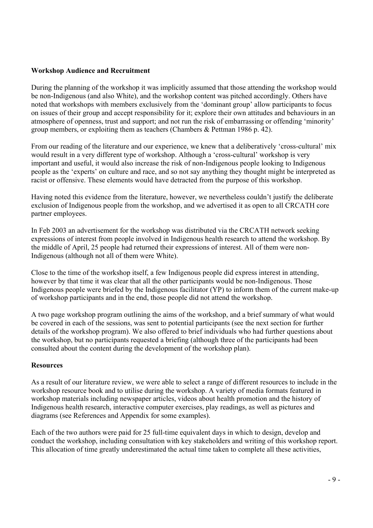#### **Workshop Audience and Recruitment**

During the planning of the workshop it was implicitly assumed that those attending the workshop would be non-Indigenous (and also White), and the workshop content was pitched accordingly. Others have noted that workshops with members exclusively from the 'dominant group' allow participants to focus on issues of their group and accept responsibility for it; explore their own attitudes and behaviours in an atmosphere of openness, trust and support; and not run the risk of embarrassing or offending 'minority' group members, or exploiting them as teachers (Chambers & Pettman 1986 p. 42).

From our reading of the literature and our experience, we knew that a deliberatively 'cross-cultural' mix would result in a very different type of workshop. Although a 'cross-cultural' workshop is very important and useful, it would also increase the risk of non-Indigenous people looking to Indigenous people as the 'experts' on culture and race, and so not say anything they thought might be interpreted as racist or offensive. These elements would have detracted from the purpose of this workshop.

Having noted this evidence from the literature, however, we nevertheless couldn't justify the deliberate exclusion of Indigenous people from the workshop, and we advertised it as open to all CRCATH core partner employees.

In Feb 2003 an advertisement for the workshop was distributed via the CRCATH network seeking expressions of interest from people involved in Indigenous health research to attend the workshop. By the middle of April, 25 people had returned their expressions of interest. All of them were non-Indigenous (although not all of them were White).

Close to the time of the workshop itself, a few Indigenous people did express interest in attending, however by that time it was clear that all the other participants would be non-Indigenous. Those Indigenous people were briefed by the Indigenous facilitator (YP) to inform them of the current make-up of workshop participants and in the end, those people did not attend the workshop.

A two page workshop program outlining the aims of the workshop, and a brief summary of what would be covered in each of the sessions, was sent to potential participants (see the next section for further details of the workshop program). We also offered to brief individuals who had further questions about the workshop, but no participants requested a briefing (although three of the participants had been consulted about the content during the development of the workshop plan).

#### **Resources**

As a result of our literature review, we were able to select a range of different resources to include in the workshop resource book and to utilise during the workshop. A variety of media formats featured in workshop materials including newspaper articles, videos about health promotion and the history of Indigenous health research, interactive computer exercises, play readings, as well as pictures and diagrams (see References and Appendix for some examples).

Each of the two authors were paid for 25 full-time equivalent days in which to design, develop and conduct the workshop, including consultation with key stakeholders and writing of this workshop report. This allocation of time greatly underestimated the actual time taken to complete all these activities,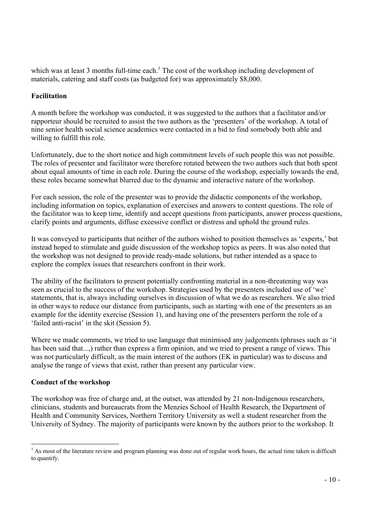which was at least 3 months full-time each.<sup>1</sup> The cost of the workshop including development of materials, catering and staff costs (as budgeted for) was approximately \$8,000.

#### **Facilitation**

A month before the workshop was conducted, it was suggested to the authors that a facilitator and/or rapporteur should be recruited to assist the two authors as the 'presenters' of the workshop. A total of nine senior health social science academics were contacted in a bid to find somebody both able and willing to fulfill this role.

Unfortunately, due to the short notice and high commitment levels of such people this was not possible. The roles of presenter and facilitator were therefore rotated between the two authors such that both spent about equal amounts of time in each role. During the course of the workshop, especially towards the end, these roles became somewhat blurred due to the dynamic and interactive nature of the workshop.

For each session, the role of the presenter was to provide the didactic components of the workshop, including information on topics, explanation of exercises and answers to content questions. The role of the facilitator was to keep time, identify and accept questions from participants, answer process questions, clarify points and arguments, diffuse excessive conflict or distress and uphold the ground rules.

It was conveyed to participants that neither of the authors wished to position themselves as 'experts,' but instead hoped to stimulate and guide discussion of the workshop topics as peers. It was also noted that the workshop was not designed to provide ready-made solutions, but rather intended as a space to explore the complex issues that researchers confront in their work.

The ability of the facilitators to present potentially confronting material in a non-threatening way was seen as crucial to the success of the workshop. Strategies used by the presenters included use of 'we' statements, that is, always including ourselves in discussion of what we do as researchers. We also tried in other ways to reduce our distance from participants, such as starting with one of the presenters as an example for the identity exercise (Session 1), and having one of the presenters perform the role of a 'failed anti-racist' in the skit (Session 5).

Where we made comments, we tried to use language that minimised any judgements (phrases such as 'it' has been said that...,) rather than express a firm opinion, and we tried to present a range of views. This was not particularly difficult, as the main interest of the authors (EK in particular) was to discuss and analyse the range of views that exist, rather than present any particular view.

#### **Conduct of the workshop**

The workshop was free of charge and, at the outset, was attended by 21 non-Indigenous researchers, clinicians, students and bureaucrats from the Menzies School of Health Research, the Department of Health and Community Services, Northern Territory University as well a student researcher from the University of Sydney. The majority of participants were known by the authors prior to the workshop. It

  $<sup>1</sup>$  As most of the literature review and program planning was done out of regular work hours, the actual time taken is difficult</sup> to quantify.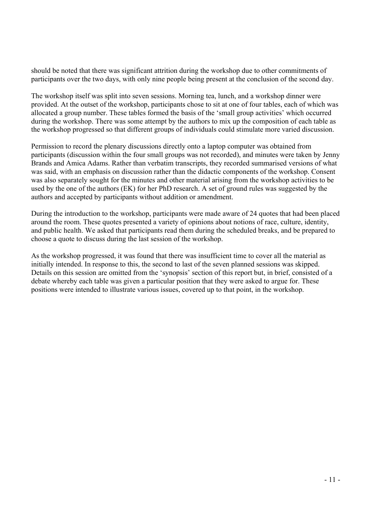should be noted that there was significant attrition during the workshop due to other commitments of participants over the two days, with only nine people being present at the conclusion of the second day.

The workshop itself was split into seven sessions. Morning tea, lunch, and a workshop dinner were provided. At the outset of the workshop, participants chose to sit at one of four tables, each of which was allocated a group number. These tables formed the basis of the 'small group activities' which occurred during the workshop. There was some attempt by the authors to mix up the composition of each table as the workshop progressed so that different groups of individuals could stimulate more varied discussion.

Permission to record the plenary discussions directly onto a laptop computer was obtained from participants (discussion within the four small groups was not recorded), and minutes were taken by Jenny Brands and Amica Adams. Rather than verbatim transcripts, they recorded summarised versions of what was said, with an emphasis on discussion rather than the didactic components of the workshop. Consent was also separately sought for the minutes and other material arising from the workshop activities to be used by the one of the authors (EK) for her PhD research. A set of ground rules was suggested by the authors and accepted by participants without addition or amendment.

During the introduction to the workshop, participants were made aware of 24 quotes that had been placed around the room. These quotes presented a variety of opinions about notions of race, culture, identity, and public health. We asked that participants read them during the scheduled breaks, and be prepared to choose a quote to discuss during the last session of the workshop.

As the workshop progressed, it was found that there was insufficient time to cover all the material as initially intended. In response to this, the second to last of the seven planned sessions was skipped. Details on this session are omitted from the 'synopsis' section of this report but, in brief, consisted of a debate whereby each table was given a particular position that they were asked to argue for. These positions were intended to illustrate various issues, covered up to that point, in the workshop.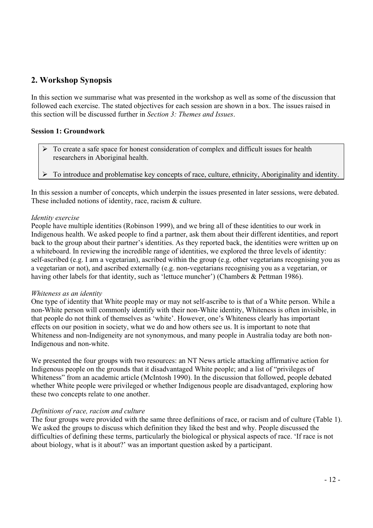#### **2. Workshop Synopsis**

In this section we summarise what was presented in the workshop as well as some of the discussion that followed each exercise. The stated objectives for each session are shown in a box. The issues raised in this section will be discussed further in *Section 3: Themes and Issues*.

#### **Session 1: Groundwork**

- ¾ To create a safe space for honest consideration of complex and difficult issues for health researchers in Aboriginal health.
- ¾ To introduce and problematise key concepts of race, culture, ethnicity, Aboriginality and identity.

In this session a number of concepts, which underpin the issues presented in later sessions, were debated. These included notions of identity, race, racism & culture.

#### *Identity exercise*

People have multiple identities (Robinson 1999), and we bring all of these identities to our work in Indigenous health. We asked people to find a partner, ask them about their different identities, and report back to the group about their partner's identities. As they reported back, the identities were written up on a whiteboard. In reviewing the incredible range of identities, we explored the three levels of identity: self-ascribed (e.g. I am a vegetarian), ascribed within the group (e.g. other vegetarians recognising you as a vegetarian or not), and ascribed externally (e.g. non-vegetarians recognising you as a vegetarian, or having other labels for that identity, such as 'lettuce muncher') (Chambers & Pettman 1986).

#### *Whiteness as an identity*

One type of identity that White people may or may not self-ascribe to is that of a White person. While a non-White person will commonly identify with their non-White identity, Whiteness is often invisible, in that people do not think of themselves as 'white'. However, one's Whiteness clearly has important effects on our position in society, what we do and how others see us. It is important to note that Whiteness and non-Indigeneity are not synonymous, and many people in Australia today are both non-Indigenous and non-white.

We presented the four groups with two resources: an NT News article attacking affirmative action for Indigenous people on the grounds that it disadvantaged White people; and a list of "privileges of Whiteness" from an academic article (McIntosh 1990). In the discussion that followed, people debated whether White people were privileged or whether Indigenous people are disadvantaged, exploring how these two concepts relate to one another.

#### *Definitions of race, racism and culture*

The four groups were provided with the same three definitions of race, or racism and of culture (Table 1). We asked the groups to discuss which definition they liked the best and why. People discussed the difficulties of defining these terms, particularly the biological or physical aspects of race. 'If race is not about biology, what is it about?' was an important question asked by a participant.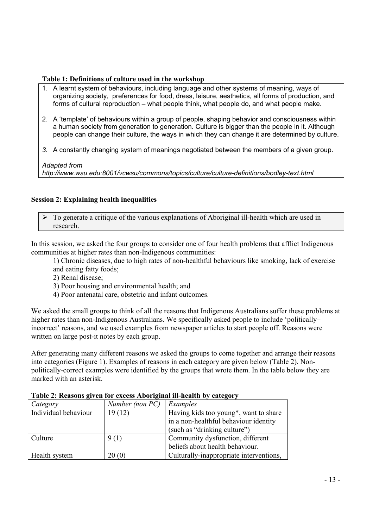#### **Table 1: Definitions of culture used in the workshop**

- 1. A learnt system of behaviours, including language and other systems of meaning, ways of organizing society, preferences for food, dress, leisure, aesthetics, all forms of production, and forms of cultural reproduction – what people think, what people do, and what people make.
- 2. A 'template' of behaviours within a group of people, shaping behavior and consciousness within a human society from generation to generation. Culture is bigger than the people in it. Although people can change their culture, the ways in which they can change it are determined by culture.
- *3.* A constantly changing system of meanings negotiated between the members of a given group.

*Adapted from http://www.wsu.edu:8001/vcwsu/commons/topics/culture/culture-definitions/bodley-text.html* 

#### **Session 2: Explaining health inequalities**

 $\triangleright$  To generate a critique of the various explanations of Aboriginal ill-health which are used in research.

In this session, we asked the four groups to consider one of four health problems that afflict Indigenous communities at higher rates than non-Indigenous communities:

1) Chronic diseases, due to high rates of non-healthful behaviours like smoking, lack of exercise and eating fatty foods;

- 2) Renal disease;
- 3) Poor housing and environmental health; and
- 4) Poor antenatal care, obstetric and infant outcomes.

We asked the small groups to think of all the reasons that Indigenous Australians suffer these problems at higher rates than non-Indigenous Australians. We specifically asked people to include 'politically– incorrect' reasons, and we used examples from newspaper articles to start people off. Reasons were written on large post-it notes by each group.

After generating many different reasons we asked the groups to come together and arrange their reasons into categories (Figure 1). Examples of reasons in each category are given below (Table 2). Nonpolitically-correct examples were identified by the groups that wrote them. In the table below they are marked with an asterisk.

| Category             | Number (non PC) | Examples                                           |
|----------------------|-----------------|----------------------------------------------------|
| Individual behaviour | 19(12)          | Having kids too young <sup>*</sup> , want to share |
|                      |                 | in a non-healthful behaviour identity              |
|                      |                 | (such as "drinking culture")                       |
| Culture              | 9(1)            | Community dysfunction, different                   |
|                      |                 | beliefs about health behaviour.                    |
| <b>Health system</b> | 20(0)           | Culturally-inappropriate interventions,            |

**Table 2: Reasons given for excess Aboriginal ill-health by category**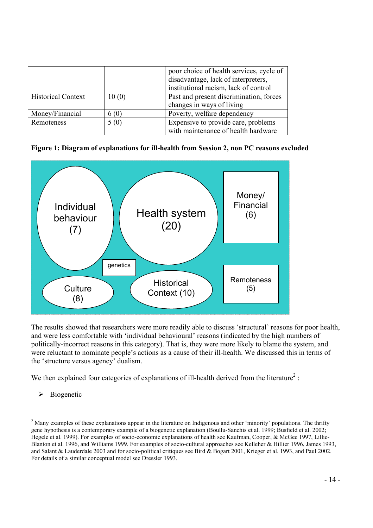|                           |       | poor choice of health services, cycle of<br>disadvantage, lack of interpreters,<br>institutional racism, lack of control |
|---------------------------|-------|--------------------------------------------------------------------------------------------------------------------------|
| <b>Historical Context</b> | 10(0) | Past and present discrimination, forces<br>changes in ways of living                                                     |
| Money/Financial           | 6 (0) | Poverty, welfare dependency                                                                                              |
| Remoteness                | 5(0)  | Expensive to provide care, problems<br>with maintenance of health hardware                                               |

**Figure 1: Diagram of explanations for ill-health from Session 2, non PC reasons excluded** 



The results showed that researchers were more readily able to discuss 'structural' reasons for poor health, and were less comfortable with 'individual behavioural' reasons (indicated by the high numbers of politically-incorrect reasons in this category). That is, they were more likely to blame the system, and were reluctant to nominate people's actions as a cause of their ill-health. We discussed this in terms of the 'structure versus agency' dualism.

We then explained four categories of explanations of ill-health derived from the literature<sup>2</sup>:

 $\triangleright$  Biogenetic

 $\overline{a}$ 

 $2<sup>2</sup>$  Many examples of these explanations appear in the literature on Indigenous and other 'minority' populations. The thrifty gene hypothesis is a contemporary example of a biogenetic explanation (Boullu-Sanchis et al. 1999; Busfield et al. 2002; Hegele et al. 1999). For examples of socio-economic explanations of health see Kaufman, Cooper, & McGee 1997, Lillie-Blanton et al. 1996, and Williams 1999. For examples of socio-cultural approaches see Kelleher & Hillier 1996, James 1993, and Salant & Lauderdale 2003 and for socio-political critiques see Bird & Bogart 2001, Krieger et al. 1993, and Paul 2002. For details of a similar conceptual model see Dressler 1993.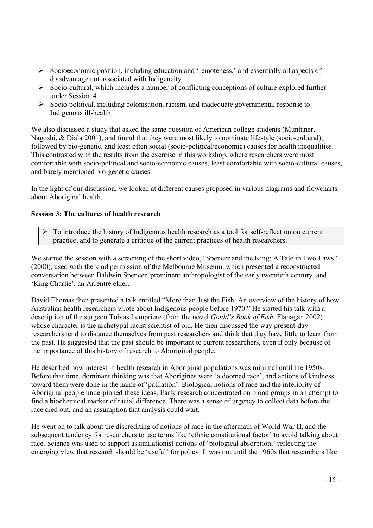- $\triangleright$  Socioeconomic position, including education and 'remoteness,' and essentially all aspects of disadvantage not associated with Indigeneity
- $\triangleright$  Socio-cultural, which includes a number of conflicting conceptions of culture explored further under Session 4
- ¾ Socio-political, including colonisation, racism, and inadequate governmental response to Indigenous ill-health

We also discussed a study that asked the same question of American college students (Muntaner, Nagoshi, & Diala 2001), and found that they were most likely to nominate lifestyle (socio-cultural), followed by bio-genetic, and least often social (socio-political/economic) causes for health inequalities. This contrasted with the results from the exercise in this workshop, where researchers were most comfortable with socio-political and socio-economic causes, least comfortable with socio-cultural causes, and barely mentioned bio-genetic causes.

In the light of our discussion, we looked at different causes proposed in various diagrams and flowcharts about Aboriginal health.

#### **Session 3: The cultures of health research**

 $\triangleright$  To introduce the history of Indigenous health research as a tool for self-reflection on current practice, and to generate a critique of the current practices of health researchers.

We started the session with a screening of the short video, "Spencer and the King: A Tale in Two Laws" (2000), used with the kind permission of the Melbourne Museum, which presented a reconstructed conversation between Baldwin Spencer, prominent anthropologist of the early twentieth century, and 'King Charlie', an Arrentre elder.

David Thomas then presented a talk entitled "More than Just the Fish: An overview of the history of how Australian health researchers wrote about Indigenous people before 1970." He started his talk with a description of the surgeon Tobias Lempriere (from the novel *Gould's Book of Fish,* Flanagan 2002) whose character is the archetypal racist scientist of old. He then discussed the way present-day researchers tend to distance themselves from past researchers and think that they have little to learn from the past. He suggested that the past should be important to current researchers, even if only because of the importance of this history of research to Aboriginal people.

He described how interest in health research in Aboriginal populations was minimal until the 1950s. Before that time, dominant thinking was that Aborigines were 'a doomed race', and actions of kindness toward them were done in the name of 'palliation'. Biological notions of race and the inferiority of Aboriginal people underpinned these ideas. Early research concentrated on blood groups in an attempt to find a biochemical marker of racial difference. There was a sense of urgency to collect data before the race died out, and an assumption that analysis could wait.

He went on to talk about the discrediting of notions of race in the aftermath of World War II, and the subsequent tendency for researchers to use terms like 'ethnic constitutional factor' to avoid talking about race. Science was used to support assimilationist notions of 'biological absorption,' reflecting the emerging view that research should be 'useful' for policy. It was not until the 1960s that researchers like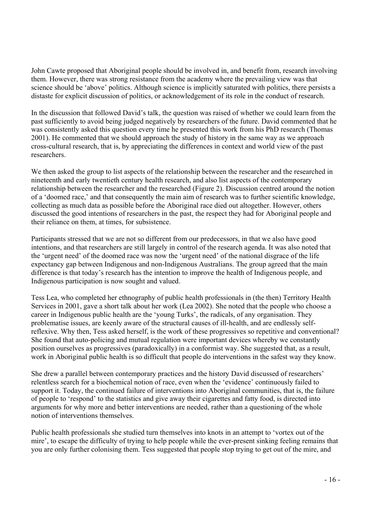John Cawte proposed that Aboriginal people should be involved in, and benefit from, research involving them. However, there was strong resistance from the academy where the prevailing view was that science should be 'above' politics. Although science is implicitly saturated with politics, there persists a distaste for explicit discussion of politics, or acknowledgement of its role in the conduct of research.

In the discussion that followed David's talk, the question was raised of whether we could learn from the past sufficiently to avoid being judged negatively by researchers of the future. David commented that he was consistently asked this question every time he presented this work from his PhD research (Thomas 2001). He commented that we should approach the study of history in the same way as we approach cross-cultural research, that is, by appreciating the differences in context and world view of the past researchers.

We then asked the group to list aspects of the relationship between the researcher and the researched in nineteenth and early twentieth century health research, and also list aspects of the contemporary relationship between the researcher and the researched (Figure 2). Discussion centred around the notion of a 'doomed race,' and that consequently the main aim of research was to further scientific knowledge, collecting as much data as possible before the Aboriginal race died out altogether. However, others discussed the good intentions of researchers in the past, the respect they had for Aboriginal people and their reliance on them, at times, for subsistence.

Participants stressed that we are not so different from our predecessors, in that we also have good intentions, and that researchers are still largely in control of the research agenda. It was also noted that the 'urgent need' of the doomed race was now the 'urgent need' of the national disgrace of the life expectancy gap between Indigenous and non-Indigenous Australians. The group agreed that the main difference is that today's research has the intention to improve the health of Indigenous people, and Indigenous participation is now sought and valued.

Tess Lea, who completed her ethnography of public health professionals in (the then) Territory Health Services in 2001, gave a short talk about her work (Lea 2002). She noted that the people who choose a career in Indigenous public health are the 'young Turks', the radicals, of any organisation. They problematise issues, are keenly aware of the structural causes of ill-health, and are endlessly selfreflexive. Why then, Tess asked herself, is the work of these progressives so repetitive and conventional? She found that auto-policing and mutual regulation were important devices whereby we constantly position ourselves as progressives (paradoxically) in a conformist way. She suggested that, as a result, work in Aboriginal public health is so difficult that people do interventions in the safest way they know.

She drew a parallel between contemporary practices and the history David discussed of researchers' relentless search for a biochemical notion of race, even when the 'evidence' continuously failed to support it. Today, the continued failure of interventions into Aboriginal communities, that is, the failure of people to 'respond' to the statistics and give away their cigarettes and fatty food, is directed into arguments for why more and better interventions are needed, rather than a questioning of the whole notion of interventions themselves.

Public health professionals she studied turn themselves into knots in an attempt to 'vortex out of the mire', to escape the difficulty of trying to help people while the ever-present sinking feeling remains that you are only further colonising them. Tess suggested that people stop trying to get out of the mire, and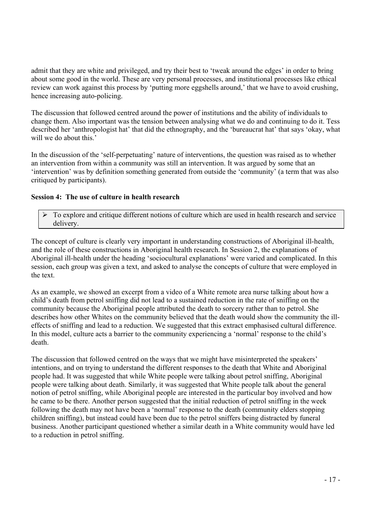admit that they are white and privileged, and try their best to 'tweak around the edges' in order to bring about some good in the world. These are very personal processes, and institutional processes like ethical review can work against this process by 'putting more eggshells around,' that we have to avoid crushing, hence increasing auto-policing.

The discussion that followed centred around the power of institutions and the ability of individuals to change them. Also important was the tension between analysing what we do and continuing to do it. Tess described her 'anthropologist hat' that did the ethnography, and the 'bureaucrat hat' that says 'okay, what will we do about this.'

In the discussion of the 'self-perpetuating' nature of interventions, the question was raised as to whether an intervention from within a community was still an intervention. It was argued by some that an 'intervention' was by definition something generated from outside the 'community' (a term that was also critiqued by participants).

#### **Session 4: The use of culture in health research**

 $\triangleright$  To explore and critique different notions of culture which are used in health research and service delivery.

The concept of culture is clearly very important in understanding constructions of Aboriginal ill-health, and the role of these constructions in Aboriginal health research. In Session 2, the explanations of Aboriginal ill-health under the heading 'sociocultural explanations' were varied and complicated. In this session, each group was given a text, and asked to analyse the concepts of culture that were employed in the text.

As an example, we showed an excerpt from a video of a White remote area nurse talking about how a child's death from petrol sniffing did not lead to a sustained reduction in the rate of sniffing on the community because the Aboriginal people attributed the death to sorcery rather than to petrol. She describes how other Whites on the community believed that the death would show the community the illeffects of sniffing and lead to a reduction. We suggested that this extract emphasised cultural difference. In this model, culture acts a barrier to the community experiencing a 'normal' response to the child's death.

The discussion that followed centred on the ways that we might have misinterpreted the speakers' intentions, and on trying to understand the different responses to the death that White and Aboriginal people had. It was suggested that while White people were talking about petrol sniffing, Aboriginal people were talking about death. Similarly, it was suggested that White people talk about the general notion of petrol sniffing, while Aboriginal people are interested in the particular boy involved and how he came to be there. Another person suggested that the initial reduction of petrol sniffing in the week following the death may not have been a 'normal' response to the death (community elders stopping children sniffing), but instead could have been due to the petrol sniffers being distracted by funeral business. Another participant questioned whether a similar death in a White community would have led to a reduction in petrol sniffing.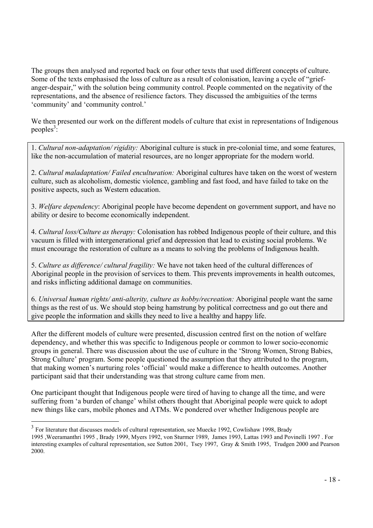The groups then analysed and reported back on four other texts that used different concepts of culture. Some of the texts emphasised the loss of culture as a result of colonisation, leaving a cycle of "griefanger-despair," with the solution being community control. People commented on the negativity of the representations, and the absence of resilience factors. They discussed the ambiguities of the terms 'community' and 'community control.'

We then presented our work on the different models of culture that exist in representations of Indigenous  $peoples<sup>3</sup>$ :

1. *Cultural non-adaptation/ rigidity:* Aboriginal culture is stuck in pre-colonial time, and some features, like the non-accumulation of material resources, are no longer appropriate for the modern world.

2. *Cultural maladaptation/ Failed enculturation:* Aboriginal cultures have taken on the worst of western culture, such as alcoholism, domestic violence, gambling and fast food, and have failed to take on the positive aspects, such as Western education.

3. *Welfare dependency*: Aboriginal people have become dependent on government support, and have no ability or desire to become economically independent.

4. *Cultural loss/Culture as therapy:* Colonisation has robbed Indigenous people of their culture, and this vacuum is filled with intergenerational grief and depression that lead to existing social problems. We must encourage the restoration of culture as a means to solving the problems of Indigenous health.

5. *Culture as difference/ cultural fragility:* We have not taken heed of the cultural differences of Aboriginal people in the provision of services to them. This prevents improvements in health outcomes, and risks inflicting additional damage on communities.

6. *Universal human rights/ anti-alterity, culture as hobby/recreation:* Aboriginal people want the same things as the rest of us. We should stop being hamstrung by political correctness and go out there and give people the information and skills they need to live a healthy and happy life.

After the different models of culture were presented, discussion centred first on the notion of welfare dependency, and whether this was specific to Indigenous people or common to lower socio-economic groups in general. There was discussion about the use of culture in the 'Strong Women, Strong Babies, Strong Culture' program. Some people questioned the assumption that they attributed to the program, that making women's nurturing roles 'official' would make a difference to health outcomes. Another participant said that their understanding was that strong culture came from men.

One participant thought that Indigenous people were tired of having to change all the time, and were suffering from 'a burden of change' whilst others thought that Aboriginal people were quick to adopt new things like cars, mobile phones and ATMs. We pondered over whether Indigenous people are

<sup>&</sup>lt;sup>3</sup> For literature that discusses models of cultural representation, see Muecke 1992, Cowlishaw 1998, Brady

<sup>1995 ,</sup>Weeramanthri 1995 , Brady 1999, Myers 1992, von Sturmer 1989, James 1993, Lattas 1993 and Povinelli 1997 . For interesting examples of cultural representation, see Sutton 2001, Tsey 1997, Gray & Smith 1995, Trudgen 2000 and Pearson 2000.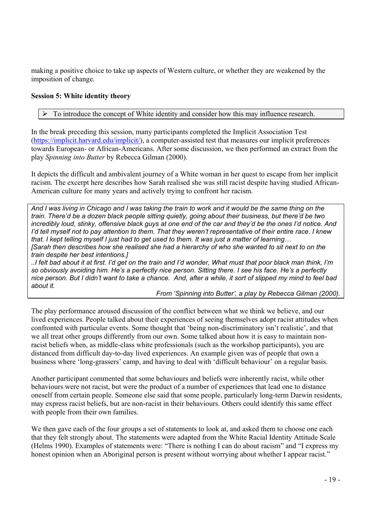making a positive choice to take up aspects of Western culture, or whether they are weakened by the imposition of change.

#### **Session 5: White identity theory**

#### $\triangleright$  To introduce the concept of White identity and consider how this may influence research.

In the break preceding this session, many participants completed the Implicit Association Test (https://implicit.harvard.edu/implicit/), a computer-assisted test that measures our implicit preferences towards European- or African-Americans. After some discussion, we then performed an extract from the play *Spinning into Butter* by Rebecca Gilman (2000).

It depicts the difficult and ambivalent journey of a White woman in her quest to escape from her implicit racism. The excerpt here describes how Sarah realised she was still racist despite having studied African-American culture for many years and actively trying to confront her racism.

*And I was living in Chicago and I was taking the train to work and it would be the same thing on the train. There'd be a dozen black people sitting quietly, going about their business, but there'd be two incredibly loud, stinky, offensive black guys at one end of the car and they'd be the ones I'd notice. And I'd tell myself not to pay attention to them. That they weren't representative of their entire race. I knew that. I kept telling myself I just had to get used to them. It was just a matter of learning… [Sarah then describes how she realised she had a hierarchy of who she wanted to sit next to on the train despite her best intentions.]* 

*..I felt bad about it at first. I'd get on the train and I'd wonder, What must that poor black man think, I'm so obviously avoiding him. He's a perfectly nice person. Sitting there. I see his face. He's a perfectly nice person. But I didn't want to take a chance. And, after a while, it sort of slipped my mind to feel bad about it.* 

*From 'Spinning into Butter', a play by Rebecca Gilman (2000).* 

The play performance aroused discussion of the conflict between what we think we believe, and our lived experiences. People talked about their experiences of seeing themselves adopt racist attitudes when confronted with particular events. Some thought that 'being non-discriminatory isn't realistic', and that we all treat other groups differently from our own. Some talked about how it is easy to maintain nonracist beliefs when, as middle-class white professionals (such as the workshop participants), you are distanced from difficult day-to-day lived experiences. An example given was of people that own a business where 'long-grassers' camp, and having to deal with 'difficult behaviour' on a regular basis.

Another participant commented that some behaviours and beliefs were inherently racist, while other behaviours were not racist, but were the product of a number of experiences that lead one to distance oneself from certain people. Someone else said that some people, particularly long-term Darwin residents, may express racist beliefs, but are non-racist in their behaviours. Others could identify this same effect with people from their own families.

We then gave each of the four groups a set of statements to look at, and asked them to choose one each that they felt strongly about. The statements were adapted from the White Racial Identity Attitude Scale (Helms 1990). Examples of statements were: "There is nothing I can do about racism" and "I express my honest opinion when an Aboriginal person is present without worrying about whether I appear racist."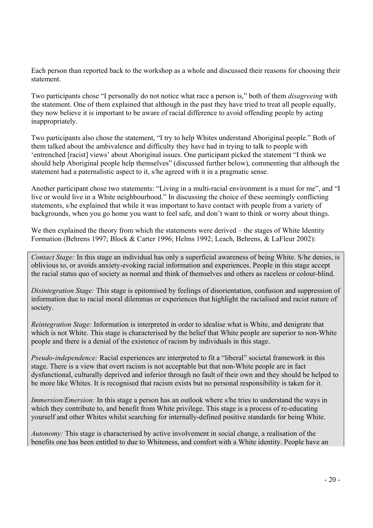Each person than reported back to the workshop as a whole and discussed their reasons for choosing their statement.

Two participants chose "I personally do not notice what race a person is," both of them *disagreeing* with the statement. One of them explained that although in the past they have tried to treat all people equally, they now believe it is important to be aware of racial difference to avoid offending people by acting inappropriately.

Two participants also chose the statement, "I try to help Whites understand Aboriginal people." Both of them talked about the ambivalence and difficulty they have had in trying to talk to people with 'entrenched [racist] views' about Aboriginal issues. One participant picked the statement "I think we should help Aboriginal people help themselves" (discussed further below), commenting that although the statement had a paternalistic aspect to it, s/he agreed with it in a pragmatic sense.

Another participant chose two statements: "Living in a multi-racial environment is a must for me", and "I live or would live in a White neighbourhood." In discussing the choice of these seemingly conflicting statements, s/he explained that while it was important to have contact with people from a variety of backgrounds, when you go home you want to feel safe, and don't want to think or worry about things.

We then explained the theory from which the statements were derived – the stages of White Identity Formation (Behrens 1997; Block & Carter 1996; Helms 1992; Leach, Behrens, & LaFleur 2002):

*Contact Stage:* In this stage an individual has only a superficial awareness of being White. S/he denies, is oblivious to, or avoids anxiety-evoking racial information and experiences. People in this stage accept the racial status quo of society as normal and think of themselves and others as raceless or colour-blind.

*Disintegration Stage:* This stage is epitomised by feelings of disorientation, confusion and suppression of information due to racial moral dilemmas or experiences that highlight the racialised and racist nature of society.

*Reintegration Stage:* Information is interpreted in order to idealise what is White, and denigrate that which is not White. This stage is characterised by the belief that White people are superior to non-White people and there is a denial of the existence of racism by individuals in this stage.

*Pseudo-independence:* Racial experiences are interpreted to fit a "liberal" societal framework in this stage. There is a view that overt racism is not acceptable but that non-White people are in fact dysfunctional, culturally deprived and inferior through no fault of their own and they should be helped to be more like Whites. It is recognised that racism exists but no personal responsibility is taken for it.

*Immersion/Emersion:* In this stage a person has an outlook where s/he tries to understand the ways in which they contribute to, and benefit from White privilege. This stage is a process of re-educating yourself and other Whites whilst searching for internally-defined positive standards for being White.

*Autonomy:* This stage is characterised by active involvement in social change, a realisation of the benefits one has been entitled to due to Whiteness, and comfort with a White identity. People have an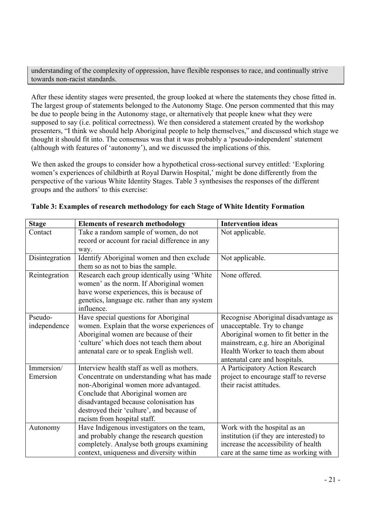understanding of the complexity of oppression, have flexible responses to race, and continually strive towards non-racist standards.

After these identity stages were presented, the group looked at where the statements they chose fitted in. The largest group of statements belonged to the Autonomy Stage. One person commented that this may be due to people being in the Autonomy stage, or alternatively that people knew what they were supposed to say (i.e. political correctness). We then considered a statement created by the workshop presenters, "I think we should help Aboriginal people to help themselves," and discussed which stage we thought it should fit into. The consensus was that it was probably a 'pseudo-independent' statement (although with features of 'autonomy'), and we discussed the implications of this.

We then asked the groups to consider how a hypothetical cross-sectional survey entitled: 'Exploring women's experiences of childbirth at Royal Darwin Hospital,' might be done differently from the perspective of the various White Identity Stages. Table 3 synthesises the responses of the different groups and the authors' to this exercise:

| <b>Stage</b>   | <b>Elements of research methodology</b>        | <b>Intervention ideas</b>               |
|----------------|------------------------------------------------|-----------------------------------------|
| Contact        | Take a random sample of women, do not          | Not applicable.                         |
|                | record or account for racial difference in any |                                         |
|                | way.                                           |                                         |
| Disintegration | Identify Aboriginal women and then exclude     | Not applicable.                         |
|                | them so as not to bias the sample.             |                                         |
| Reintegration  | Research each group identically using 'White   | None offered.                           |
|                | women' as the norm. If Aboriginal women        |                                         |
|                | have worse experiences, this is because of     |                                         |
|                | genetics, language etc. rather than any system |                                         |
|                | influence.                                     |                                         |
| Pseudo-        | Have special questions for Aboriginal          | Recognise Aboriginal disadvantage as    |
| independence   | women. Explain that the worse experiences of   | unacceptable. Try to change             |
|                | Aboriginal women are because of their          | Aboriginal women to fit better in the   |
|                | 'culture' which does not teach them about      | mainstream, e.g. hire an Aboriginal     |
|                | antenatal care or to speak English well.       | Health Worker to teach them about       |
|                |                                                | antenatal care and hospitals.           |
| Immersion/     | Interview health staff as well as mothers.     | A Participatory Action Research         |
| Emersion       | Concentrate on understanding what has made     | project to encourage staff to reverse   |
|                | non-Aboriginal women more advantaged.          | their racist attitudes.                 |
|                | Conclude that Aboriginal women are             |                                         |
|                | disadvantaged because colonisation has         |                                         |
|                | destroyed their 'culture', and because of      |                                         |
|                | racism from hospital staff.                    |                                         |
| Autonomy       | Have Indigenous investigators on the team,     | Work with the hospital as an            |
|                | and probably change the research question      | institution (if they are interested) to |
|                | completely. Analyse both groups examining      | increase the accessibility of health    |
|                | context, uniqueness and diversity within       | care at the same time as working with   |

#### **Table 3: Examples of research methodology for each Stage of White Identity Formation**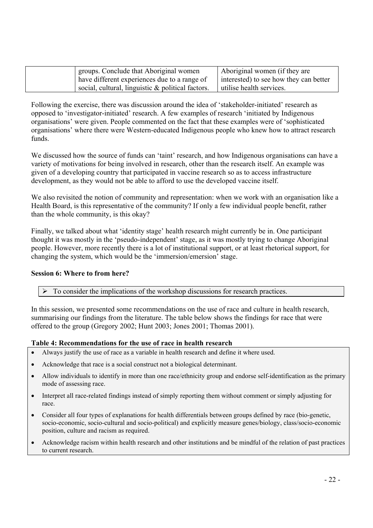| groups. Conclude that Aboriginal women               | Aboriginal women (if they are          |
|------------------------------------------------------|----------------------------------------|
| have different experiences due to a range of         | interested) to see how they can better |
| social, cultural, linguistic $\&$ political factors. | utilise health services.               |

Following the exercise, there was discussion around the idea of 'stakeholder-initiated' research as opposed to 'investigator-initiated' research. A few examples of research 'initiated by Indigenous organisations' were given. People commented on the fact that these examples were of 'sophisticated organisations' where there were Western-educated Indigenous people who knew how to attract research funds.

We discussed how the source of funds can 'taint' research, and how Indigenous organisations can have a variety of motivations for being involved in research, other than the research itself. An example was given of a developing country that participated in vaccine research so as to access infrastructure development, as they would not be able to afford to use the developed vaccine itself.

We also revisited the notion of community and representation: when we work with an organisation like a Health Board, is this representative of the community? If only a few individual people benefit, rather than the whole community, is this okay?

Finally, we talked about what 'identity stage' health research might currently be in. One participant thought it was mostly in the 'pseudo-independent' stage, as it was mostly trying to change Aboriginal people. However, more recently there is a lot of institutional support, or at least rhetorical support, for changing the system, which would be the 'immersion/emersion' stage.

#### **Session 6: Where to from here?**

 $\triangleright$  To consider the implications of the workshop discussions for research practices.

In this session, we presented some recommendations on the use of race and culture in health research, summarising our findings from the literature. The table below shows the findings for race that were offered to the group (Gregory 2002; Hunt 2003; Jones 2001; Thomas 2001).

#### **Table 4: Recommendations for the use of race in health research**

- Always justify the use of race as a variable in health research and define it where used.
- Acknowledge that race is a social construct not a biological determinant.
- Allow individuals to identify in more than one race/ethnicity group and endorse self-identification as the primary mode of assessing race.
- Interpret all race-related findings instead of simply reporting them without comment or simply adjusting for race.
- Consider all four types of explanations for health differentials between groups defined by race (bio-genetic, socio-economic, socio-cultural and socio-political) and explicitly measure genes/biology, class/socio-economic position, culture and racism as required.
- Acknowledge racism within health research and other institutions and be mindful of the relation of past practices to current research.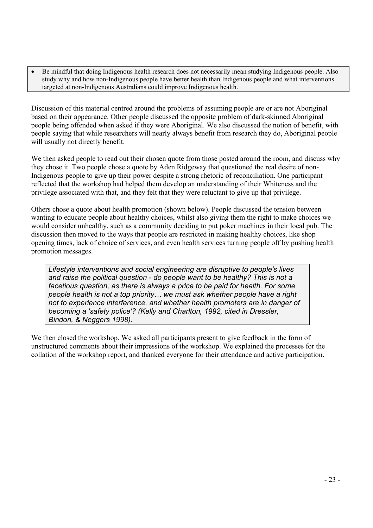• Be mindful that doing Indigenous health research does not necessarily mean studying Indigenous people. Also study why and how non-Indigenous people have better health than Indigenous people and what interventions targeted at non-Indigenous Australians could improve Indigenous health.

Discussion of this material centred around the problems of assuming people are or are not Aboriginal based on their appearance. Other people discussed the opposite problem of dark-skinned Aboriginal people being offended when asked if they were Aboriginal. We also discussed the notion of benefit, with people saying that while researchers will nearly always benefit from research they do, Aboriginal people will usually not directly benefit.

We then asked people to read out their chosen quote from those posted around the room, and discuss why they chose it. Two people chose a quote by Aden Ridgeway that questioned the real desire of non-Indigenous people to give up their power despite a strong rhetoric of reconciliation. One participant reflected that the workshop had helped them develop an understanding of their Whiteness and the privilege associated with that, and they felt that they were reluctant to give up that privilege.

Others chose a quote about health promotion (shown below). People discussed the tension between wanting to educate people about healthy choices, whilst also giving them the right to make choices we would consider unhealthy, such as a community deciding to put poker machines in their local pub. The discussion then moved to the ways that people are restricted in making healthy choices, like shop opening times, lack of choice of services, and even health services turning people off by pushing health promotion messages.

*Lifestyle interventions and social engineering are disruptive to people's lives and raise the political question - do people want to be healthy? This is not a facetious question, as there is always a price to be paid for health. For some people health is not a top priority… we must ask whether people have a right not to experience interference, and whether health promoters are in danger of becoming a 'safety police'? (Kelly and Charlton, 1992, cited in Dressler, Bindon, & Neggers 1998).* 

We then closed the workshop. We asked all participants present to give feedback in the form of unstructured comments about their impressions of the workshop. We explained the processes for the collation of the workshop report, and thanked everyone for their attendance and active participation.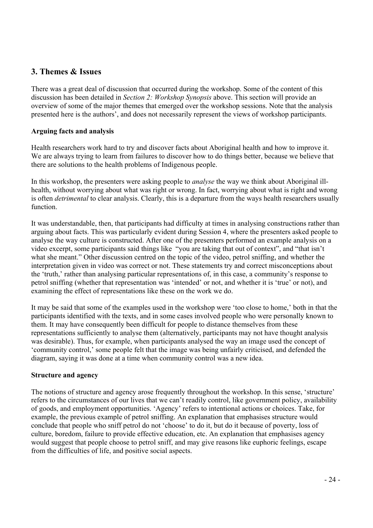#### **3. Themes & Issues**

There was a great deal of discussion that occurred during the workshop. Some of the content of this discussion has been detailed in *Section 2: Workshop Synopsis* above. This section will provide an overview of some of the major themes that emerged over the workshop sessions. Note that the analysis presented here is the authors', and does not necessarily represent the views of workshop participants.

#### **Arguing facts and analysis**

Health researchers work hard to try and discover facts about Aboriginal health and how to improve it. We are always trying to learn from failures to discover how to do things better, because we believe that there are solutions to the health problems of Indigenous people.

In this workshop, the presenters were asking people to *analyse* the way we think about Aboriginal illhealth, without worrying about what was right or wrong. In fact, worrying about what is right and wrong is often *detrimental* to clear analysis. Clearly, this is a departure from the ways health researchers usually function.

It was understandable, then, that participants had difficulty at times in analysing constructions rather than arguing about facts. This was particularly evident during Session 4, where the presenters asked people to analyse the way culture is constructed. After one of the presenters performed an example analysis on a video excerpt, some participants said things like "you are taking that out of context", and "that isn't what she meant." Other discussion centred on the topic of the video, petrol sniffing, and whether the interpretation given in video was correct or not. These statements try and correct misconceptions about the 'truth,' rather than analysing particular representations of, in this case, a community's response to petrol sniffing (whether that representation was 'intended' or not, and whether it is 'true' or not), and examining the effect of representations like these on the work we do.

It may be said that some of the examples used in the workshop were 'too close to home,' both in that the participants identified with the texts, and in some cases involved people who were personally known to them. It may have consequently been difficult for people to distance themselves from these representations sufficiently to analyse them (alternatively, participants may not have thought analysis was desirable). Thus, for example, when participants analysed the way an image used the concept of 'community control,' some people felt that the image was being unfairly criticised, and defended the diagram, saying it was done at a time when community control was a new idea.

#### **Structure and agency**

The notions of structure and agency arose frequently throughout the workshop. In this sense, 'structure' refers to the circumstances of our lives that we can't readily control, like government policy, availability of goods, and employment opportunities. 'Agency' refers to intentional actions or choices. Take, for example, the previous example of petrol sniffing. An explanation that emphasises structure would conclude that people who sniff petrol do not 'choose' to do it, but do it because of poverty, loss of culture, boredom, failure to provide effective education, etc. An explanation that emphasises agency would suggest that people choose to petrol sniff, and may give reasons like euphoric feelings, escape from the difficulties of life, and positive social aspects.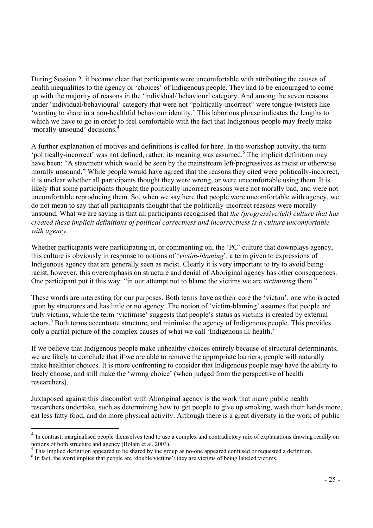During Session 2, it became clear that participants were uncomfortable with attributing the causes of health inequalities to the agency or 'choices' of Indigenous people. They had to be encouraged to come up with the majority of reasons in the 'individual/ behaviour' category. And among the seven reasons under 'individual/behavioural' category that were not "politically-incorrect" were tongue-twisters like 'wanting to share in a non-healthful behaviour identity.' This laborious phrase indicates the lengths to which we have to go in order to feel comfortable with the fact that Indigenous people may freely make 'morally-unsound' decisions.<sup>4</sup>

A further explanation of motives and definitions is called for here. In the workshop activity, the term 'politically-incorrect' was not defined, rather, its meaning was assumed.<sup>5</sup> The implicit definition may have been: "A statement which would be seen by the mainstream left/progressives as racist or otherwise morally unsound." While people would have agreed that the reasons they cited were politically-incorrect, it is unclear whether all participants thought they were wrong, or were uncomfortable using them. It is likely that some participants thought the politically-incorrect reasons were not morally bad, and were not uncomfortable reproducing them. So, when we say here that people were uncomfortable with agency, we do not mean to say that all participants thought that the politically-incorrect reasons were morally unsound. What we are saying is that all participants recognised that *the (progressive/left) culture that has created these implicit definitions of political correctness and incorrectness is a culture uncomfortable with agency.* 

Whether participants were participating in, or commenting on, the 'PC' culture that downplays agency, this culture is obviously in response to notions of '*victim-blaming*', a term given to expressions of Indigenous agency that are generally seen as racist. Clearly it is very important to try to avoid being racist, however, this overemphasis on structure and denial of Aboriginal agency has other consequences. One participant put it this way: "in our attempt not to blame the victims we are *victimising* them."

These words are interesting for our purposes. Both terms have as their core the 'victim', one who is acted upon by structures and has little or no agency. The notion of 'victim-blaming' assumes that people are truly victims, while the term 'victimise' suggests that people's status as victims is created by external actors.<sup>6</sup> Both terms accentuate structure, and minimise the agency of Indigenous people. This provides only a partial picture of the complex causes of what we call 'Indigenous ill-health.'

If we believe that Indigenous people make unhealthy choices entirely because of structural determinants, we are likely to conclude that if we are able to remove the appropriate barriers, people will naturally make healthier choices. It is more confronting to consider that Indigenous people may have the ability to freely choose, and still make the 'wrong choice' (when judged from the perspective of health researchers).

Juxtaposed against this discomfort with Aboriginal agency is the work that many public health researchers undertake, such as determining how to get people to give up smoking, wash their hands more, eat less fatty food, and do more physical activity. Although there is a great diversity in the work of public

<sup>&</sup>lt;sup>4</sup> In contrast, marginalised people themselves tend to use a complex and contradictory mix of explanations drawing readily on notions of both structure and agency (Bolam et al. 2003).

<sup>&</sup>lt;sup>5</sup> This implied definition appeared to be shared by the group as no-one appeared confused or requested a definition.

<sup>&</sup>lt;sup>6</sup> In fact, the word implies that people are 'double victims': they are victims of being labeled victims.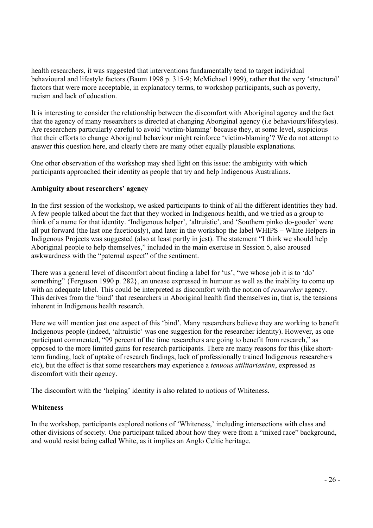health researchers, it was suggested that interventions fundamentally tend to target individual behavioural and lifestyle factors (Baum 1998 p. 315-9; McMichael 1999), rather that the very 'structural' factors that were more acceptable, in explanatory terms, to workshop participants, such as poverty, racism and lack of education.

It is interesting to consider the relationship between the discomfort with Aboriginal agency and the fact that the agency of many researchers is directed at changing Aboriginal agency (i.e behaviours/lifestyles). Are researchers particularly careful to avoid 'victim-blaming' because they, at some level, suspicious that their efforts to change Aboriginal behaviour might reinforce 'victim-blaming'? We do not attempt to answer this question here, and clearly there are many other equally plausible explanations.

One other observation of the workshop may shed light on this issue: the ambiguity with which participants approached their identity as people that try and help Indigenous Australians.

#### **Ambiguity about researchers' agency**

In the first session of the workshop, we asked participants to think of all the different identities they had. A few people talked about the fact that they worked in Indigenous health, and we tried as a group to think of a name for that identity. 'Indigenous helper', 'altruistic', and 'Southern pinko do-gooder' were all put forward (the last one facetiously), and later in the workshop the label WHIPS – White Helpers in Indigenous Projects was suggested (also at least partly in jest). The statement "I think we should help Aboriginal people to help themselves," included in the main exercise in Session 5, also aroused awkwardness with the "paternal aspect" of the sentiment.

There was a general level of discomfort about finding a label for 'us', "we whose job it is to 'do' something" {Ferguson 1990 p. 282}, an unease expressed in humour as well as the inability to come up with an adequate label. This could be interpreted as discomfort with the notion of *researcher* agency. This derives from the 'bind' that researchers in Aboriginal health find themselves in, that is, the tensions inherent in Indigenous health research.

Here we will mention just one aspect of this 'bind'. Many researchers believe they are working to benefit Indigenous people (indeed, 'altruistic' was one suggestion for the researcher identity). However, as one participant commented, "99 percent of the time researchers are going to benefit from research," as opposed to the more limited gains for research participants. There are many reasons for this (like shortterm funding, lack of uptake of research findings, lack of professionally trained Indigenous researchers etc), but the effect is that some researchers may experience a *tenuous utilitarianism*, expressed as discomfort with their agency.

The discomfort with the 'helping' identity is also related to notions of Whiteness.

#### **Whiteness**

In the workshop, participants explored notions of 'Whiteness,' including intersections with class and other divisions of society. One participant talked about how they were from a "mixed race" background, and would resist being called White, as it implies an Anglo Celtic heritage.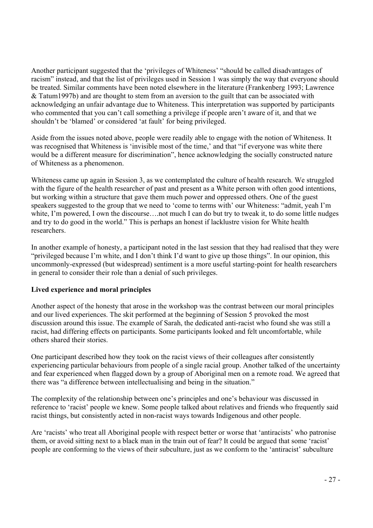Another participant suggested that the 'privileges of Whiteness' "should be called disadvantages of racism" instead, and that the list of privileges used in Session 1 was simply the way that everyone should be treated. Similar comments have been noted elsewhere in the literature (Frankenberg 1993; Lawrence & Tatum1997b) and are thought to stem from an aversion to the guilt that can be associated with acknowledging an unfair advantage due to Whiteness. This interpretation was supported by participants who commented that you can't call something a privilege if people aren't aware of it, and that we shouldn't be 'blamed' or considered 'at fault' for being privileged.

Aside from the issues noted above, people were readily able to engage with the notion of Whiteness. It was recognised that Whiteness is 'invisible most of the time,' and that "if everyone was white there would be a different measure for discrimination", hence acknowledging the socially constructed nature of Whiteness as a phenomenon.

Whiteness came up again in Session 3, as we contemplated the culture of health research. We struggled with the figure of the health researcher of past and present as a White person with often good intentions, but working within a structure that gave them much power and oppressed others. One of the guest speakers suggested to the group that we need to 'come to terms with' our Whiteness: "admit, yeah I'm white, I'm powered, I own the discourse....not much I can do but try to tweak it, to do some little nudges and try to do good in the world." This is perhaps an honest if lacklustre vision for White health researchers.

In another example of honesty, a participant noted in the last session that they had realised that they were "privileged because I'm white, and I don't think I'd want to give up those things". In our opinion, this uncommonly-expressed (but widespread) sentiment is a more useful starting-point for health researchers in general to consider their role than a denial of such privileges.

#### **Lived experience and moral principles**

Another aspect of the honesty that arose in the workshop was the contrast between our moral principles and our lived experiences. The skit performed at the beginning of Session 5 provoked the most discussion around this issue. The example of Sarah, the dedicated anti-racist who found she was still a racist, had differing effects on participants. Some participants looked and felt uncomfortable, while others shared their stories.

One participant described how they took on the racist views of their colleagues after consistently experiencing particular behaviours from people of a single racial group. Another talked of the uncertainty and fear experienced when flagged down by a group of Aboriginal men on a remote road. We agreed that there was "a difference between intellectualising and being in the situation."

The complexity of the relationship between one's principles and one's behaviour was discussed in reference to 'racist' people we knew. Some people talked about relatives and friends who frequently said racist things, but consistently acted in non-racist ways towards Indigenous and other people.

Are 'racists' who treat all Aboriginal people with respect better or worse that 'antiracists' who patronise them, or avoid sitting next to a black man in the train out of fear? It could be argued that some 'racist' people are conforming to the views of their subculture, just as we conform to the 'antiracist' subculture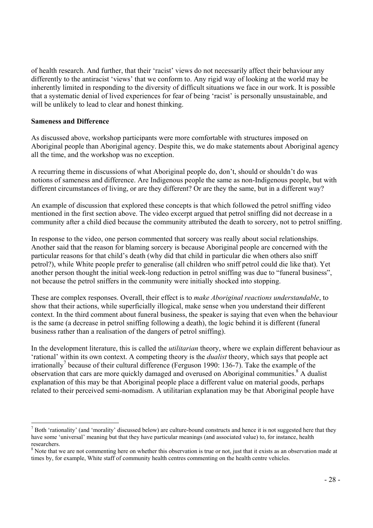of health research. And further, that their 'racist' views do not necessarily affect their behaviour any differently to the antiracist 'views' that we conform to. Any rigid way of looking at the world may be inherently limited in responding to the diversity of difficult situations we face in our work. It is possible that a systematic denial of lived experiences for fear of being 'racist' is personally unsustainable, and will be unlikely to lead to clear and honest thinking.

#### **Sameness and Difference**

 $\overline{a}$ 

As discussed above, workshop participants were more comfortable with structures imposed on Aboriginal people than Aboriginal agency. Despite this, we do make statements about Aboriginal agency all the time, and the workshop was no exception.

A recurring theme in discussions of what Aboriginal people do, don't, should or shouldn't do was notions of sameness and difference. Are Indigenous people the same as non-Indigenous people, but with different circumstances of living, or are they different? Or are they the same, but in a different way?

An example of discussion that explored these concepts is that which followed the petrol sniffing video mentioned in the first section above. The video excerpt argued that petrol sniffing did not decrease in a community after a child died because the community attributed the death to sorcery, not to petrol sniffing.

In response to the video, one person commented that sorcery was really about social relationships. Another said that the reason for blaming sorcery is because Aboriginal people are concerned with the particular reasons for that child's death (why did that child in particular die when others also sniff petrol?), while White people prefer to generalise (all children who sniff petrol could die like that). Yet another person thought the initial week-long reduction in petrol sniffing was due to "funeral business", not because the petrol sniffers in the community were initially shocked into stopping.

These are complex responses. Overall, their effect is to *make Aboriginal reactions understandable*, to show that their actions, while superficially illogical, make sense when you understand their different context. In the third comment about funeral business, the speaker is saying that even when the behaviour is the same (a decrease in petrol sniffing following a death), the logic behind it is different (funeral business rather than a realisation of the dangers of petrol sniffing).

In the development literature, this is called the *utilitarian* theory, where we explain different behaviour as 'rational' within its own context. A competing theory is the *dualist* theory, which says that people act irrationally<sup>7</sup> because of their cultural difference (Ferguson 1990: 136-7). Take the example of the observation that cars are more quickly damaged and overused on Aboriginal communities.<sup>8</sup> A dualist explanation of this may be that Aboriginal people place a different value on material goods, perhaps related to their perceived semi-nomadism. A utilitarian explanation may be that Aboriginal people have

 $<sup>7</sup>$  Both 'rationality' (and 'morality' discussed below) are culture-bound constructs and hence it is not suggested here that they</sup> have some 'universal' meaning but that they have particular meanings (and associated value) to, for instance, health researchers.

<sup>&</sup>lt;sup>8</sup> Note that we are not commenting here on whether this observation is true or not, just that it exists as an observation made at times by, for example, White staff of community health centres commenting on the health centre vehicles.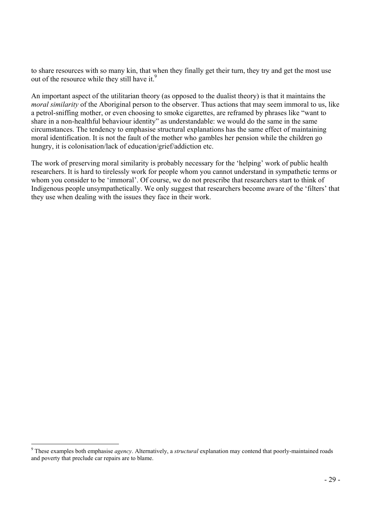to share resources with so many kin, that when they finally get their turn, they try and get the most use out of the resource while they still have it.<sup>9</sup>

An important aspect of the utilitarian theory (as opposed to the dualist theory) is that it maintains the *moral similarity* of the Aboriginal person to the observer. Thus actions that may seem immoral to us, like a petrol-sniffing mother, or even choosing to smoke cigarettes, are reframed by phrases like "want to share in a non-healthful behaviour identity" as understandable: we would do the same in the same circumstances. The tendency to emphasise structural explanations has the same effect of maintaining moral identification. It is not the fault of the mother who gambles her pension while the children go hungry, it is colonisation/lack of education/grief/addiction etc.

The work of preserving moral similarity is probably necessary for the 'helping' work of public health researchers. It is hard to tirelessly work for people whom you cannot understand in sympathetic terms or whom you consider to be 'immoral'. Of course, we do not prescribe that researchers start to think of Indigenous people unsympathetically. We only suggest that researchers become aware of the 'filters' that they use when dealing with the issues they face in their work.

<sup>9</sup> These examples both emphasise *agency*. Alternatively, a *structural* explanation may contend that poorly-maintained roads and poverty that preclude car repairs are to blame.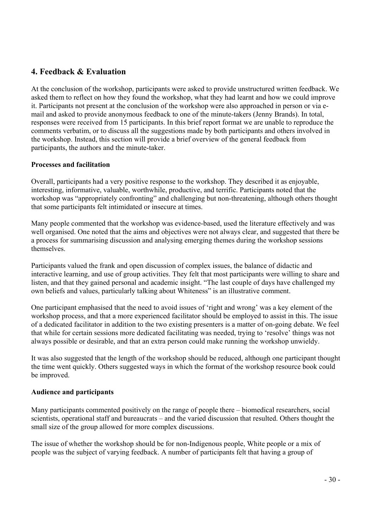#### **4. Feedback & Evaluation**

At the conclusion of the workshop, participants were asked to provide unstructured written feedback. We asked them to reflect on how they found the workshop, what they had learnt and how we could improve it. Participants not present at the conclusion of the workshop were also approached in person or via email and asked to provide anonymous feedback to one of the minute-takers (Jenny Brands). In total, responses were received from 15 participants. In this brief report format we are unable to reproduce the comments verbatim, or to discuss all the suggestions made by both participants and others involved in the workshop. Instead, this section will provide a brief overview of the general feedback from participants, the authors and the minute-taker.

#### **Processes and facilitation**

Overall, participants had a very positive response to the workshop. They described it as enjoyable, interesting, informative, valuable, worthwhile, productive, and terrific. Participants noted that the workshop was "appropriately confronting" and challenging but non-threatening, although others thought that some participants felt intimidated or insecure at times.

Many people commented that the workshop was evidence-based, used the literature effectively and was well organised. One noted that the aims and objectives were not always clear, and suggested that there be a process for summarising discussion and analysing emerging themes during the workshop sessions themselves.

Participants valued the frank and open discussion of complex issues, the balance of didactic and interactive learning, and use of group activities. They felt that most participants were willing to share and listen, and that they gained personal and academic insight. "The last couple of days have challenged my own beliefs and values, particularly talking about Whiteness" is an illustrative comment.

One participant emphasised that the need to avoid issues of 'right and wrong' was a key element of the workshop process, and that a more experienced facilitator should be employed to assist in this. The issue of a dedicated facilitator in addition to the two existing presenters is a matter of on-going debate. We feel that while for certain sessions more dedicated facilitating was needed, trying to 'resolve' things was not always possible or desirable, and that an extra person could make running the workshop unwieldy.

It was also suggested that the length of the workshop should be reduced, although one participant thought the time went quickly. Others suggested ways in which the format of the workshop resource book could be improved.

#### **Audience and participants**

Many participants commented positively on the range of people there – biomedical researchers, social scientists, operational staff and bureaucrats – and the varied discussion that resulted. Others thought the small size of the group allowed for more complex discussions.

The issue of whether the workshop should be for non-Indigenous people, White people or a mix of people was the subject of varying feedback. A number of participants felt that having a group of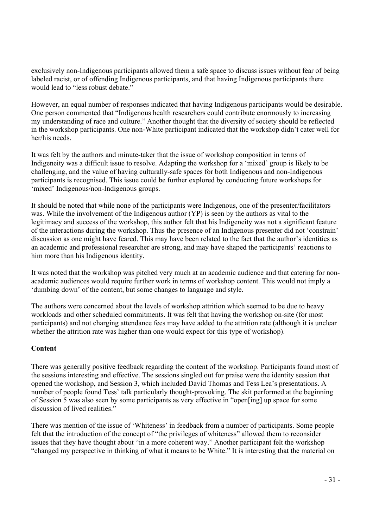exclusively non-Indigenous participants allowed them a safe space to discuss issues without fear of being labeled racist, or of offending Indigenous participants, and that having Indigenous participants there would lead to "less robust debate."

However, an equal number of responses indicated that having Indigenous participants would be desirable. One person commented that "Indigenous health researchers could contribute enormously to increasing my understanding of race and culture." Another thought that the diversity of society should be reflected in the workshop participants. One non-White participant indicated that the workshop didn't cater well for her/his needs.

It was felt by the authors and minute-taker that the issue of workshop composition in terms of Indigeneity was a difficult issue to resolve. Adapting the workshop for a 'mixed' group is likely to be challenging, and the value of having culturally-safe spaces for both Indigenous and non-Indigenous participants is recognised. This issue could be further explored by conducting future workshops for 'mixed' Indigenous/non-Indigenous groups.

It should be noted that while none of the participants were Indigenous, one of the presenter/facilitators was. While the involvement of the Indigenous author (YP) is seen by the authors as vital to the legitimacy and success of the workshop, this author felt that his Indigeneity was not a significant feature of the interactions during the workshop. Thus the presence of an Indigenous presenter did not 'constrain' discussion as one might have feared. This may have been related to the fact that the author's identities as an academic and professional researcher are strong, and may have shaped the participants' reactions to him more than his Indigenous identity.

It was noted that the workshop was pitched very much at an academic audience and that catering for nonacademic audiences would require further work in terms of workshop content. This would not imply a 'dumbing down' of the content, but some changes to language and style.

The authors were concerned about the levels of workshop attrition which seemed to be due to heavy workloads and other scheduled commitments. It was felt that having the workshop on-site (for most participants) and not charging attendance fees may have added to the attrition rate (although it is unclear whether the attrition rate was higher than one would expect for this type of workshop).

#### **Content**

There was generally positive feedback regarding the content of the workshop. Participants found most of the sessions interesting and effective. The sessions singled out for praise were the identity session that opened the workshop, and Session 3, which included David Thomas and Tess Lea's presentations. A number of people found Tess' talk particularly thought-provoking. The skit performed at the beginning of Session 5 was also seen by some participants as very effective in "open[ing] up space for some discussion of lived realities."

There was mention of the issue of 'Whiteness' in feedback from a number of participants. Some people felt that the introduction of the concept of "the privileges of whiteness" allowed them to reconsider issues that they have thought about "in a more coherent way." Another participant felt the workshop "changed my perspective in thinking of what it means to be White." It is interesting that the material on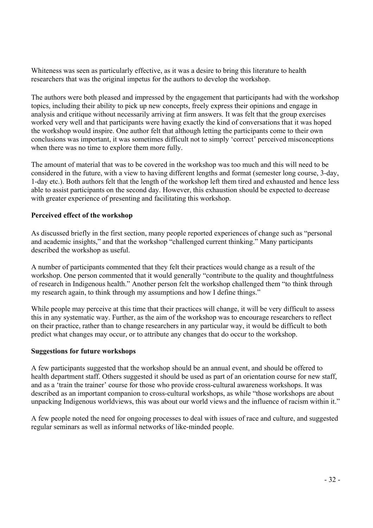Whiteness was seen as particularly effective, as it was a desire to bring this literature to health researchers that was the original impetus for the authors to develop the workshop.

The authors were both pleased and impressed by the engagement that participants had with the workshop topics, including their ability to pick up new concepts, freely express their opinions and engage in analysis and critique without necessarily arriving at firm answers. It was felt that the group exercises worked very well and that participants were having exactly the kind of conversations that it was hoped the workshop would inspire. One author felt that although letting the participants come to their own conclusions was important, it was sometimes difficult not to simply 'correct' perceived misconceptions when there was no time to explore them more fully.

The amount of material that was to be covered in the workshop was too much and this will need to be considered in the future, with a view to having different lengths and format (semester long course, 3-day, 1-day etc.). Both authors felt that the length of the workshop left them tired and exhausted and hence less able to assist participants on the second day. However, this exhaustion should be expected to decrease with greater experience of presenting and facilitating this workshop.

#### **Perceived effect of the workshop**

As discussed briefly in the first section, many people reported experiences of change such as "personal and academic insights," and that the workshop "challenged current thinking." Many participants described the workshop as useful.

A number of participants commented that they felt their practices would change as a result of the workshop. One person commented that it would generally "contribute to the quality and thoughtfulness of research in Indigenous health." Another person felt the workshop challenged them "to think through my research again, to think through my assumptions and how I define things."

While people may perceive at this time that their practices will change, it will be very difficult to assess this in any systematic way. Further, as the aim of the workshop was to encourage researchers to reflect on their practice, rather than to change researchers in any particular way, it would be difficult to both predict what changes may occur, or to attribute any changes that do occur to the workshop.

#### **Suggestions for future workshops**

A few participants suggested that the workshop should be an annual event, and should be offered to health department staff. Others suggested it should be used as part of an orientation course for new staff, and as a 'train the trainer' course for those who provide cross-cultural awareness workshops. It was described as an important companion to cross-cultural workshops, as while "those workshops are about unpacking Indigenous worldviews, this was about our world views and the influence of racism within it."

A few people noted the need for ongoing processes to deal with issues of race and culture, and suggested regular seminars as well as informal networks of like-minded people.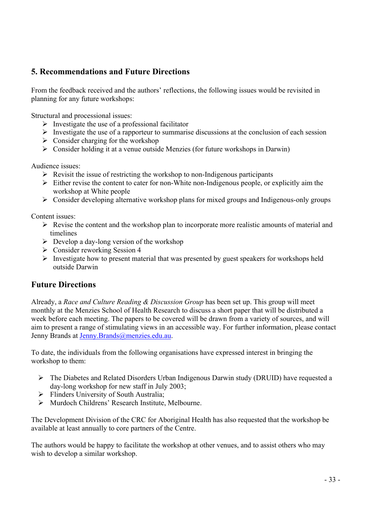#### **5. Recommendations and Future Directions**

From the feedback received and the authors' reflections, the following issues would be revisited in planning for any future workshops:

Structural and processional issues:

- $\triangleright$  Investigate the use of a professional facilitator
- $\triangleright$  Investigate the use of a rapporteur to summarise discussions at the conclusion of each session
- $\triangleright$  Consider charging for the workshop
- $\triangleright$  Consider holding it at a venue outside Menzies (for future workshops in Darwin)

Audience issues:

- $\triangleright$  Revisit the issue of restricting the workshop to non-Indigenous participants
- $\triangleright$  Either revise the content to cater for non-White non-Indigenous people, or explicitly aim the workshop at White people
- $\triangleright$  Consider developing alternative workshop plans for mixed groups and Indigenous-only groups

Content issues:

- $\triangleright$  Revise the content and the workshop plan to incorporate more realistic amounts of material and timelines
- $\triangleright$  Develop a day-long version of the workshop
- $\triangleright$  Consider reworking Session 4
- $\triangleright$  Investigate how to present material that was presented by guest speakers for workshops held outside Darwin

#### **Future Directions**

Already, a *Race and Culture Reading & Discussion Group* has been set up. This group will meet monthly at the Menzies School of Health Research to discuss a short paper that will be distributed a week before each meeting. The papers to be covered will be drawn from a variety of sources, and will aim to present a range of stimulating views in an accessible way. For further information, please contact Jenny Brands at Jenny.Brands@menzies.edu.au.

To date, the individuals from the following organisations have expressed interest in bringing the workshop to them:

- $\triangleright$  The Diabetes and Related Disorders Urban Indigenous Darwin study (DRUID) have requested a day-long workshop for new staff in July 2003;
- $\triangleright$  Flinders University of South Australia:
- ¾ Murdoch Childrens' Research Institute, Melbourne.

The Development Division of the CRC for Aboriginal Health has also requested that the workshop be available at least annually to core partners of the Centre.

The authors would be happy to facilitate the workshop at other venues, and to assist others who may wish to develop a similar workshop.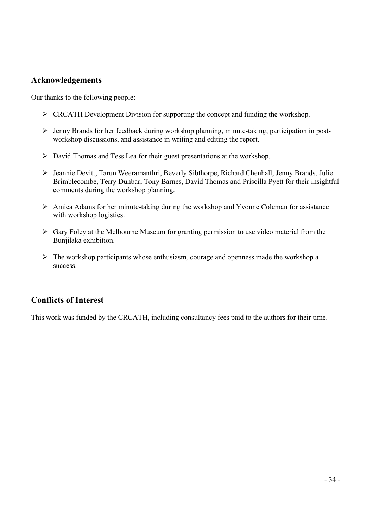#### **Acknowledgements**

Our thanks to the following people:

- $\triangleright$  CRCATH Development Division for supporting the concept and funding the workshop.
- ¾ Jenny Brands for her feedback during workshop planning, minute-taking, participation in postworkshop discussions, and assistance in writing and editing the report.
- $\triangleright$  David Thomas and Tess Lea for their guest presentations at the workshop.
- ¾ Jeannie Devitt, Tarun Weeramanthri, Beverly Sibthorpe, Richard Chenhall, Jenny Brands, Julie Brimblecombe, Terry Dunbar, Tony Barnes, David Thomas and Priscilla Pyett for their insightful comments during the workshop planning.
- $\triangleright$  Amica Adams for her minute-taking during the workshop and Yvonne Coleman for assistance with workshop logistics.
- $\triangleright$  Gary Foley at the Melbourne Museum for granting permission to use video material from the Bunjilaka exhibition.
- $\triangleright$  The workshop participants whose enthusiasm, courage and openness made the workshop a success.

#### **Conflicts of Interest**

This work was funded by the CRCATH, including consultancy fees paid to the authors for their time.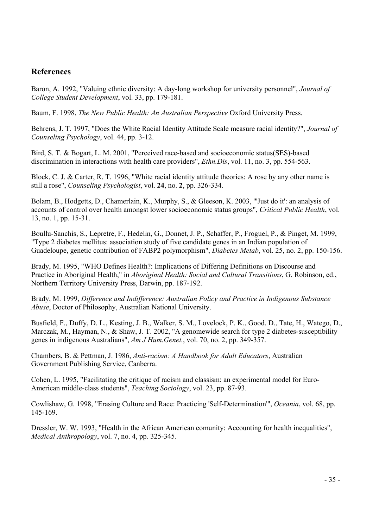#### **References**

Baron, A. 1992, "Valuing ethnic diversity: A day-long workshop for university personnel", *Journal of College Student Development*, vol. 33, pp. 179-181.

Baum, F. 1998, *The New Public Health: An Australian Perspective* Oxford University Press.

Behrens, J. T. 1997, "Does the White Racial Identity Attitude Scale measure racial identity?", *Journal of Counseling Psychology*, vol. 44, pp. 3-12.

Bird, S. T. & Bogart, L. M. 2001, "Perceived race-based and socioeconomic status(SES)-based discrimination in interactions with health care providers", *Ethn.Dis*, vol. 11, no. 3, pp. 554-563.

Block, C. J. & Carter, R. T. 1996, "White racial identity attitude theories: A rose by any other name is still a rose", *Counseling Psychologist*, vol. **24**, no. **2**, pp. 326-334.

Bolam, B., Hodgetts, D., Chamerlain, K., Murphy, S., & Gleeson, K. 2003, "'Just do it': an analysis of accounts of control over health amongst lower socioeconomic status groups", *Critical Public Health*, vol. 13, no. 1, pp. 15-31.

Boullu-Sanchis, S., Lepretre, F., Hedelin, G., Donnet, J. P., Schaffer, P., Froguel, P., & Pinget, M. 1999, "Type 2 diabetes mellitus: association study of five candidate genes in an Indian population of Guadeloupe, genetic contribution of FABP2 polymorphism", *Diabetes Metab*, vol. 25, no. 2, pp. 150-156.

Brady, M. 1995, "WHO Defines Health?: Implications of Differing Definitions on Discourse and Practice in Aboriginal Health," in *Aboriginal Health: Social and Cultural Transitions*, G. Robinson, ed., Northern Territory University Press, Darwin, pp. 187-192.

Brady, M. 1999, *Difference and Indifference: Australian Policy and Practice in Indigenous Substance Abuse*, Doctor of Philosophy, Australian National University.

Busfield, F., Duffy, D. L., Kesting, J. B., Walker, S. M., Lovelock, P. K., Good, D., Tate, H., Watego, D., Marczak, M., Hayman, N., & Shaw, J. T. 2002, "A genomewide search for type 2 diabetes-susceptibility genes in indigenous Australians", *Am J Hum.Genet.*, vol. 70, no. 2, pp. 349-357.

Chambers, B. & Pettman, J. 1986, *Anti-racism: A Handbook for Adult Educators*, Australian Government Publishing Service, Canberra.

Cohen, L. 1995, "Facilitating the critique of racism and classism: an experimental model for Euro-American middle-class students", *Teaching Sociology*, vol. 23, pp. 87-93.

Cowlishaw, G. 1998, "Erasing Culture and Race: Practicing 'Self-Determination'", *Oceania*, vol. 68, pp. 145-169.

Dressler, W. W. 1993, "Health in the African American comunity: Accounting for health inequalities", *Medical Anthropology*, vol. 7, no. 4, pp. 325-345.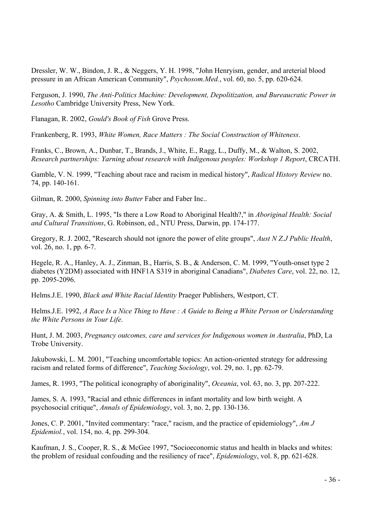Dressler, W. W., Bindon, J. R., & Neggers, Y. H. 1998, "John Henryism, gender, and areterial blood pressure in an African American Community", *Psychosom.Med.*, vol. 60, no. 5, pp. 620-624.

Ferguson, J. 1990, *The Anti-Politics Machine: Development, Depolitization, and Bureaucratic Power in Lesotho* Cambridge University Press, New York.

Flanagan, R. 2002, *Gould's Book of Fish* Grove Press.

Frankenberg, R. 1993, *White Women, Race Matters : The Social Construction of Whiteness*.

Franks, C., Brown, A., Dunbar, T., Brands, J., White, E., Ragg, L., Duffy, M., & Walton, S. 2002, *Research partnerships: Yarning about research with Indigenous peoples: Workshop 1 Report*, CRCATH.

Gamble, V. N. 1999, "Teaching about race and racism in medical history", *Radical History Review* no. 74, pp. 140-161.

Gilman, R. 2000, *Spinning into Butter* Faber and Faber Inc..

Gray, A. & Smith, L. 1995, "Is there a Low Road to Aboriginal Health?," in *Aboriginal Health: Social and Cultural Transitions*, G. Robinson, ed., NTU Press, Darwin, pp. 174-177.

Gregory, R. J. 2002, "Research should not ignore the power of elite groups", *Aust N Z.J Public Health*, vol. 26, no. 1, pp. 6-7.

Hegele, R. A., Hanley, A. J., Zinman, B., Harris, S. B., & Anderson, C. M. 1999, "Youth-onset type 2 diabetes (Y2DM) associated with HNF1A S319 in aboriginal Canadians", *Diabetes Care*, vol. 22, no. 12, pp. 2095-2096.

Helms.J.E. 1990, *Black and White Racial Identity* Praeger Publishers, Westport, CT.

Helms.J.E. 1992, *A Race Is a Nice Thing to Have : A Guide to Being a White Person or Understanding the White Persons in Your Life*.

Hunt, J. M. 2003, *Pregnancy outcomes, care and services for Indigenous women in Australia*, PhD, La Trobe University.

Jakubowski, L. M. 2001, "Teaching uncomfortable topics: An action-oriented strategy for addressing racism and related forms of difference", *Teaching Sociology*, vol. 29, no. 1, pp. 62-79.

James, R. 1993, "The political iconography of aboriginality", *Oceania*, vol. 63, no. 3, pp. 207-222.

James, S. A. 1993, "Racial and ethnic differences in infant mortality and low birth weight. A psychosocial critique", *Annals of Epidemiology*, vol. 3, no. 2, pp. 130-136.

Jones, C. P. 2001, "Invited commentary: "race," racism, and the practice of epidemiology", *Am J Epidemiol.*, vol. 154, no. 4, pp. 299-304.

Kaufman, J. S., Cooper, R. S., & McGee 1997, "Socioeconomic status and health in blacks and whites: the problem of residual confouding and the resiliency of race", *Epidemiology*, vol. 8, pp. 621-628.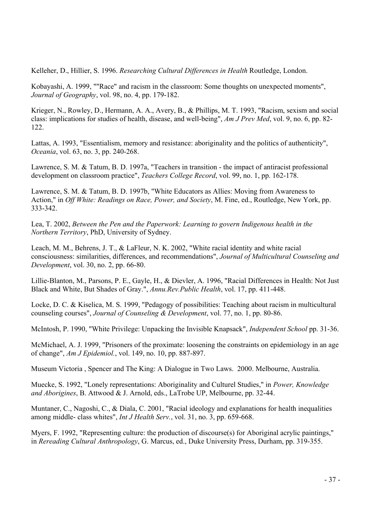Kelleher, D., Hillier, S. 1996. *Researching Cultural Differences in Health* Routledge, London.

Kobayashi, A. 1999, ""Race" and racism in the classroom: Some thoughts on unexpected moments", *Journal of Geography*, vol. 98, no. 4, pp. 179-182.

Krieger, N., Rowley, D., Hermann, A. A., Avery, B., & Phillips, M. T. 1993, "Racism, sexism and social class: implications for studies of health, disease, and well-being", *Am J Prev Med*, vol. 9, no. 6, pp. 82- 122.

Lattas, A. 1993, "Essentialism, memory and resistance: aboriginality and the politics of authenticity", *Oceania*, vol. 63, no. 3, pp. 240-268.

Lawrence, S. M. & Tatum, B. D. 1997a, "Teachers in transition - the impact of antiracist professional development on classroom practice", *Teachers College Record*, vol. 99, no. 1, pp. 162-178.

Lawrence, S. M. & Tatum, B. D. 1997b, "White Educators as Allies: Moving from Awareness to Action," in *Off White: Readings on Race, Power, and Society*, M. Fine, ed., Routledge, New York, pp. 333-342.

Lea, T. 2002, *Between the Pen and the Paperwork: Learning to govern Indigenous health in the Northern Territory*, PhD, University of Sydney.

Leach, M. M., Behrens, J. T., & LaFleur, N. K. 2002, "White racial identity and white racial consciousness: similarities, differences, and recommendations", *Journal of Multicultural Counseling and Development*, vol. 30, no. 2, pp. 66-80.

Lillie-Blanton, M., Parsons, P. E., Gayle, H., & Dievler, A. 1996, "Racial Differences in Health: Not Just Black and White, But Shades of Gray.", *Annu.Rev.Public Health*, vol. 17, pp. 411-448.

Locke, D. C. & Kiselica, M. S. 1999, "Pedagogy of possibilities: Teaching about racism in multicultural counseling courses", *Journal of Counseling & Development*, vol. 77, no. 1, pp. 80-86.

McIntosh, P. 1990, "White Privilege: Unpacking the Invisible Knapsack", *Independent School* pp. 31-36.

McMichael, A. J. 1999, "Prisoners of the proximate: loosening the constraints on epidemiology in an age of change", *Am J Epidemiol.*, vol. 149, no. 10, pp. 887-897.

Museum Victoria , Spencer and The King: A Dialogue in Two Laws. 2000. Melbourne, Australia.

Muecke, S. 1992, "Lonely representations: Aboriginality and Culturel Studies," in *Power, Knowledge and Aborigines*, B. Attwood & J. Arnold, eds., LaTrobe UP, Melbourne, pp. 32-44.

Muntaner, C., Nagoshi, C., & Diala, C. 2001, "Racial ideology and explanations for health inequalities among middle- class whites", *Int J Health Serv.*, vol. 31, no. 3, pp. 659-668.

Myers, F. 1992, "Representing culture: the production of discourse(s) for Aboriginal acrylic paintings," in *Rereading Cultural Anthropology*, G. Marcus, ed., Duke University Press, Durham, pp. 319-355.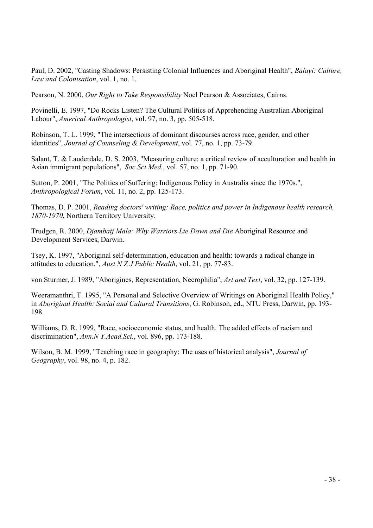Paul, D. 2002, "Casting Shadows: Persisting Colonial Influences and Aboriginal Health", *Balayi: Culture, Law and Colonisation*, vol. 1, no. 1.

Pearson, N. 2000, *Our Right to Take Responsibility* Noel Pearson & Associates, Cairns.

Povinelli, E. 1997, "Do Rocks Listen? The Cultural Politics of Apprehending Australian Aboriginal Labour", *Americal Anthropologist*, vol. 97, no. 3, pp. 505-518.

Robinson, T. L. 1999, "The intersections of dominant discourses across race, gender, and other identities", *Journal of Counseling & Development*, vol. 77, no. 1, pp. 73-79.

Salant, T. & Lauderdale, D. S. 2003, "Measuring culture: a critical review of acculturation and health in Asian immigrant populations", *Soc.Sci.Med.*, vol. 57, no. 1, pp. 71-90.

Sutton, P. 2001, "The Politics of Suffering: Indigenous Policy in Australia since the 1970s.", *Anthropological Forum*, vol. 11, no. 2, pp. 125-173.

Thomas, D. P. 2001, *Reading doctors' writing: Race, politics and power in Indigenous health research, 1870-1970*, Northern Territory University.

Trudgen, R. 2000, *Djambatj Mala: Why Warriors Lie Down and Die* Aboriginal Resource and Development Services, Darwin.

Tsey, K. 1997, "Aboriginal self-determination, education and health: towards a radical change in attitudes to education.", *Aust N Z J Public Health*, vol. 21, pp. 77-83.

von Sturmer, J. 1989, "Aborigines, Representation, Necrophilia", *Art and Text*, vol. 32, pp. 127-139.

Weeramanthri, T. 1995, "A Personal and Selective Overview of Writings on Aboriginal Health Policy," in *Aboriginal Health: Social and Cultural Transitions*, G. Robinson, ed., NTU Press, Darwin, pp. 193- 198.

Williams, D. R. 1999, "Race, socioeconomic status, and health. The added effects of racism and discrimination", *Ann.N Y.Acad.Sci.*, vol. 896, pp. 173-188.

Wilson, B. M. 1999, "Teaching race in geography: The uses of historical analysis", *Journal of Geography*, vol. 98, no. 4, p. 182.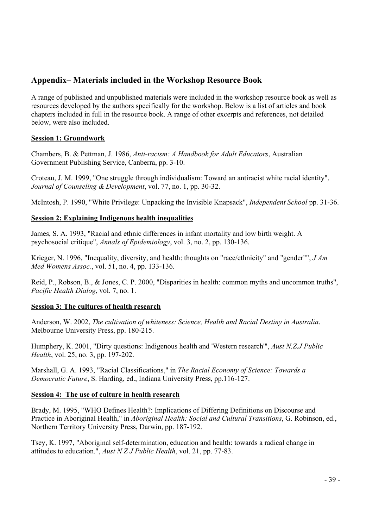#### **Appendix– Materials included in the Workshop Resource Book**

A range of published and unpublished materials were included in the workshop resource book as well as resources developed by the authors specifically for the workshop. Below is a list of articles and book chapters included in full in the resource book. A range of other excerpts and references, not detailed below, were also included.

#### **Session 1: Groundwork**

Chambers, B. & Pettman, J. 1986, *Anti-racism: A Handbook for Adult Educators*, Australian Government Publishing Service, Canberra, pp. 3-10.

Croteau, J. M. 1999, "One struggle through individualism: Toward an antiracist white racial identity", *Journal of Counseling & Development*, vol. 77, no. 1, pp. 30-32.

McIntosh, P. 1990, "White Privilege: Unpacking the Invisible Knapsack", *Independent School* pp. 31-36.

#### **Session 2: Explaining Indigenous health inequalities**

James, S. A. 1993, "Racial and ethnic differences in infant mortality and low birth weight. A psychosocial critique", *Annals of Epidemiology*, vol. 3, no. 2, pp. 130-136.

Krieger, N. 1996, "Inequality, diversity, and health: thoughts on "race/ethnicity" and "gender"", *J Am Med Womens Assoc.*, vol. 51, no. 4, pp. 133-136.

Reid, P., Robson, B., & Jones, C. P. 2000, "Disparities in health: common myths and uncommon truths", *Pacific Health Dialog*, vol. 7, no. 1.

#### **Session 3: The cultures of health research**

Anderson, W. 2002, *The cultivation of whiteness: Science, Health and Racial Destiny in Australia*. Melbourne University Press, pp. 180-215.

Humphery, K. 2001, "Dirty questions: Indigenous health and 'Western research'", *Aust N.Z.J Public Health*, vol. 25, no. 3, pp. 197-202.

Marshall, G. A. 1993, "Racial Classifications," in *The Racial Economy of Science: Towards a Democratic Future*, S. Harding, ed., Indiana University Press, pp.116-127.

#### **Session 4: The use of culture in health research**

Brady, M. 1995, "WHO Defines Health?: Implications of Differing Definitions on Discourse and Practice in Aboriginal Health," in *Aboriginal Health: Social and Cultural Transitions*, G. Robinson, ed., Northern Territory University Press, Darwin, pp. 187-192.

Tsey, K. 1997, "Aboriginal self-determination, education and health: towards a radical change in attitudes to education.", *Aust N Z J Public Health*, vol. 21, pp. 77-83.